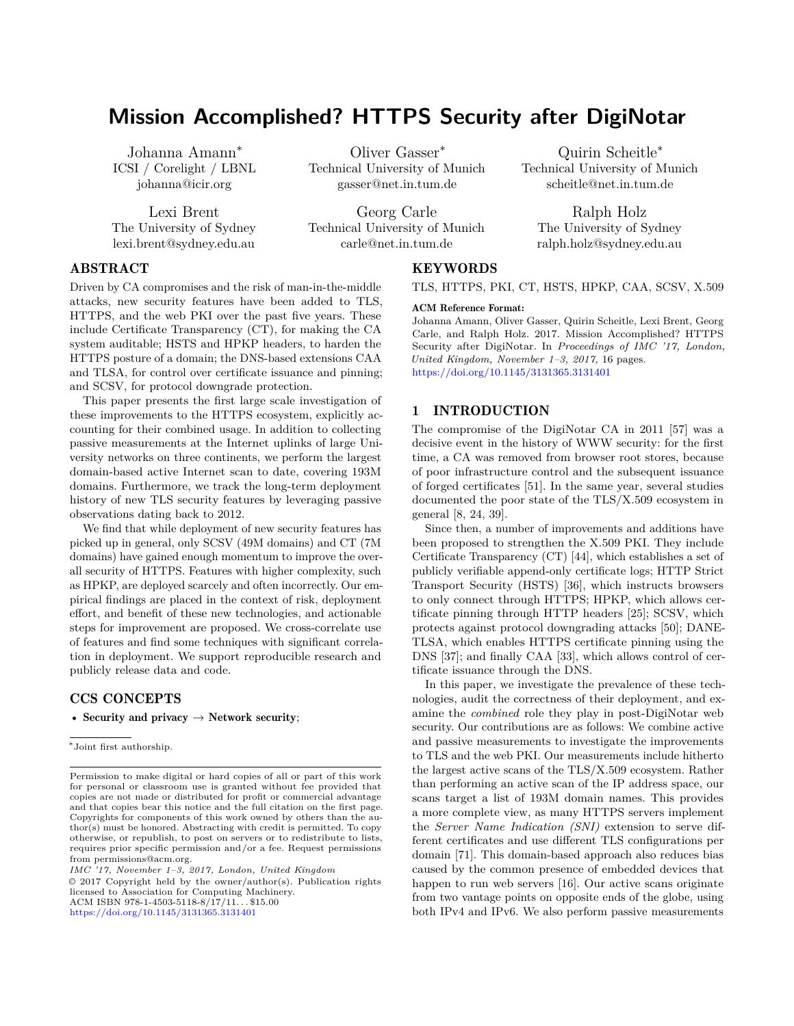# **Mission Accomplished? HTTPS Security after DigiNotar**

Johanna Amann<sup>∗</sup> ICSI / Corelight / LBNL johanna@icir.org

Lexi Brent The University of Sydney lexi.brent@sydney.edu.au

Oliver Gasser<sup>∗</sup> Technical University of Munich gasser@net.in.tum.de

Georg Carle Technical University of Munich carle@net.in.tum.de

Quirin Scheitle<sup>∗</sup> Technical University of Munich scheitle@net.in.tum.de

Ralph Holz The University of Sydney ralph.holz@sydney.edu.au

# ABSTRACT

Driven by CA compromises and the risk of man-in-the-middle attacks, new security features have been added to TLS, HTTPS, and the web PKI over the past five years. These include Certificate Transparency (CT), for making the CA system auditable; HSTS and HPKP headers, to harden the HTTPS posture of a domain; the DNS-based extensions CAA and TLSA, for control over certificate issuance and pinning; and SCSV, for protocol downgrade protection.

This paper presents the first large scale investigation of these improvements to the HTTPS ecosystem, explicitly accounting for their combined usage. In addition to collecting passive measurements at the Internet uplinks of large University networks on three continents, we perform the largest domain-based active Internet scan to date, covering 193M domains. Furthermore, we track the long-term deployment history of new TLS security features by leveraging passive observations dating back to 2012.

We find that while deployment of new security features has picked up in general, only SCSV (49M domains) and CT (7M domains) have gained enough momentum to improve the overall security of HTTPS. Features with higher complexity, such as HPKP, are deployed scarcely and often incorrectly. Our empirical findings are placed in the context of risk, deployment effort, and benefit of these new technologies, and actionable steps for improvement are proposed. We cross-correlate use of features and find some techniques with significant correlation in deployment. We support reproducible research and publicly release data and code.

# CCS CONCEPTS

• Security and privacy  $\rightarrow$  Network security;

∗ Joint first authorship.

*IMC '17, November 1–3, 2017, London, United Kingdom* © 2017 Copyright held by the owner/author(s). Publication rights licensed to Association for Computing Machinery. ACM ISBN 978-1-4503-5118-8/17/11. . . \$15.00

<https://doi.org/10.1145/3131365.3131401>

### **KEYWORDS**

TLS, HTTPS, PKI, CT, HSTS, HPKP, CAA, SCSV, X.509

#### ACM Reference Format:

Johanna Amann, Oliver Gasser, Quirin Scheitle, Lexi Brent, Georg Carle, and Ralph Holz. 2017. Mission Accomplished? HTTPS Security after DigiNotar. In *Proceedings of IMC '17, London, United Kingdom, November 1–3, 2017,* [16](#page-15-0) pages. <https://doi.org/10.1145/3131365.3131401>

# <span id="page-0-0"></span>1 INTRODUCTION

The compromise of the DigiNotar CA in 2011 [\[57\]](#page-15-1) was a decisive event in the history of WWW security: for the first time, a CA was removed from browser root stores, because of poor infrastructure control and the subsequent issuance of forged certificates [\[51\]](#page-15-2). In the same year, several studies documented the poor state of the TLS/X.509 ecosystem in general [\[8,](#page-14-0) [24,](#page-14-1) [39\]](#page-14-2).

Since then, a number of improvements and additions have been proposed to strengthen the X.509 PKI. They include Certificate Transparency (CT) [\[44\]](#page-14-3), which establishes a set of publicly verifiable append-only certificate logs; HTTP Strict Transport Security (HSTS) [\[36\]](#page-14-4), which instructs browsers to only connect through HTTPS; HPKP, which allows certificate pinning through HTTP headers [\[25\]](#page-14-5); SCSV, which protects against protocol downgrading attacks [\[50\]](#page-15-3); DANE-TLSA, which enables HTTPS certificate pinning using the DNS [\[37\]](#page-14-6); and finally CAA [\[33\]](#page-14-7), which allows control of certificate issuance through the DNS.

In this paper, we investigate the prevalence of these technologies, audit the correctness of their deployment, and examine the *combined* role they play in post-DigiNotar web security. Our contributions are as follows: We combine active and passive measurements to investigate the improvements to TLS and the web PKI. Our measurements include hitherto the largest active scans of the TLS/X.509 ecosystem. Rather than performing an active scan of the IP address space, our scans target a list of 193M domain names. This provides a more complete view, as many HTTPS servers implement the *Server Name Indication (SNI)* extension to serve different certificates and use different TLS configurations per domain [\[71\]](#page-15-4). This domain-based approach also reduces bias caused by the common presence of embedded devices that happen to run web servers [\[16\]](#page-14-8). Our active scans originate from two vantage points on opposite ends of the globe, using both IPv4 and IPv6. We also perform passive measurements

Permission to make digital or hard copies of all or part of this work for personal or classroom use is granted without fee provided that copies are not made or distributed for profit or commercial advantage and that copies bear this notice and the full citation on the first page. Copyrights for components of this work owned by others than the author(s) must be honored. Abstracting with credit is permitted. To copy otherwise, or republish, to post on servers or to redistribute to lists, requires prior specific permission and/or a fee. Request permissions from permissions@acm.org.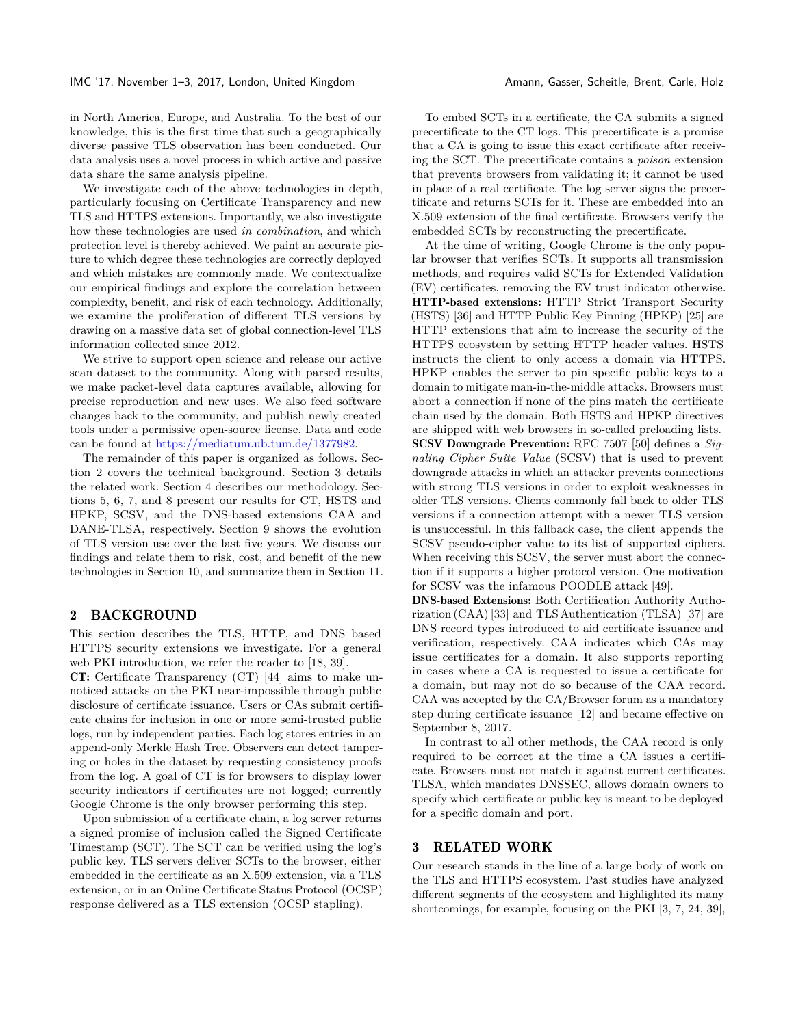#### IMC '17, November 1–3, 2017, London, United Kingdom Amann, Gasser, Scheitle, Brent, Carle, Holz

in North America, Europe, and Australia. To the best of our

knowledge, this is the first time that such a geographically diverse passive TLS observation has been conducted. Our data analysis uses a novel process in which active and passive data share the same analysis pipeline.

We investigate each of the above technologies in depth, particularly focusing on Certificate Transparency and new TLS and HTTPS extensions. Importantly, we also investigate how these technologies are used *in combination*, and which protection level is thereby achieved. We paint an accurate picture to which degree these technologies are correctly deployed and which mistakes are commonly made. We contextualize our empirical findings and explore the correlation between complexity, benefit, and risk of each technology. Additionally, we examine the proliferation of different TLS versions by drawing on a massive data set of global connection-level TLS information collected since 2012.

We strive to support open science and release our active scan dataset to the community. Along with parsed results, we make packet-level data captures available, allowing for precise reproduction and new uses. We also feed software changes back to the community, and publish newly created tools under a permissive open-source license. Data and code can be found at [https://mediatum.ub.tum.de/1377982.](https://mediatum.ub.tum.de/1377982)

The remainder of this paper is organized as follows. Section [2](#page-1-0) covers the technical background. Section [3](#page-1-1) details the related work. Section [4](#page-2-0) describes our methodology. Sections [5,](#page-3-0) [6,](#page-6-0) [7,](#page-8-0) and [8](#page-9-0) present our results for CT, HSTS and HPKP, SCSV, and the DNS-based extensions CAA and DANE-TLSA, respectively. Section [9](#page-10-0) shows the evolution of TLS version use over the last five years. We discuss our findings and relate them to risk, cost, and benefit of the new technologies in Section [10,](#page-11-0) and summarize them in Section [11.](#page-13-0)

#### <span id="page-1-0"></span>2 BACKGROUND

This section describes the TLS, HTTP, and DNS based HTTPS security extensions we investigate. For a general web PKI introduction, we refer the reader to [\[18,](#page-14-9) [39\]](#page-14-2).

CT: Certificate Transparency (CT) [\[44\]](#page-14-3) aims to make unnoticed attacks on the PKI near-impossible through public disclosure of certificate issuance. Users or CAs submit certificate chains for inclusion in one or more semi-trusted public logs, run by independent parties. Each log stores entries in an append-only Merkle Hash Tree. Observers can detect tampering or holes in the dataset by requesting consistency proofs from the log. A goal of CT is for browsers to display lower security indicators if certificates are not logged; currently Google Chrome is the only browser performing this step.

Upon submission of a certificate chain, a log server returns a signed promise of inclusion called the Signed Certificate Timestamp (SCT). The SCT can be verified using the log's public key. TLS servers deliver SCTs to the browser, either embedded in the certificate as an X.509 extension, via a TLS extension, or in an Online Certificate Status Protocol (OCSP) response delivered as a TLS extension (OCSP stapling).

To embed SCTs in a certificate, the CA submits a signed precertificate to the CT logs. This precertificate is a promise that a CA is going to issue this exact certificate after receiving the SCT. The precertificate contains a *poison* extension that prevents browsers from validating it; it cannot be used in place of a real certificate. The log server signs the precertificate and returns SCTs for it. These are embedded into an X.509 extension of the final certificate. Browsers verify the embedded SCTs by reconstructing the precertificate.

At the time of writing, Google Chrome is the only popular browser that verifies SCTs. It supports all transmission methods, and requires valid SCTs for Extended Validation (EV) certificates, removing the EV trust indicator otherwise. HTTP-based extensions: HTTP Strict Transport Security (HSTS) [\[36\]](#page-14-4) and HTTP Public Key Pinning (HPKP) [\[25\]](#page-14-5) are HTTP extensions that aim to increase the security of the HTTPS ecosystem by setting HTTP header values. HSTS instructs the client to only access a domain via HTTPS. HPKP enables the server to pin specific public keys to a domain to mitigate man-in-the-middle attacks. Browsers must abort a connection if none of the pins match the certificate chain used by the domain. Both HSTS and HPKP directives are shipped with web browsers in so-called preloading lists. SCSV Downgrade Prevention: RFC 7507 [\[50\]](#page-15-3) defines a *Signaling Cipher Suite Value* (SCSV) that is used to prevent downgrade attacks in which an attacker prevents connections with strong TLS versions in order to exploit weaknesses in older TLS versions. Clients commonly fall back to older TLS versions if a connection attempt with a newer TLS version is unsuccessful. In this fallback case, the client appends the SCSV pseudo-cipher value to its list of supported ciphers. When receiving this SCSV, the server must abort the connection if it supports a higher protocol version. One motivation for SCSV was the infamous POODLE attack [\[49\]](#page-15-5).

DNS-based Extensions: Both Certification Authority Authorization (CAA) [\[33\]](#page-14-7) and TLS Authentication (TLSA) [\[37\]](#page-14-6) are DNS record types introduced to aid certificate issuance and verification, respectively. CAA indicates which CAs may issue certificates for a domain. It also supports reporting in cases where a CA is requested to issue a certificate for a domain, but may not do so because of the CAA record. CAA was accepted by the CA/Browser forum as a mandatory step during certificate issuance [\[12\]](#page-14-10) and became effective on September 8, 2017.

In contrast to all other methods, the CAA record is only required to be correct at the time a CA issues a certificate. Browsers must not match it against current certificates. TLSA, which mandates DNSSEC, allows domain owners to specify which certificate or public key is meant to be deployed for a specific domain and port.

#### <span id="page-1-1"></span>3 RELATED WORK

Our research stands in the line of a large body of work on the TLS and HTTPS ecosystem. Past studies have analyzed different segments of the ecosystem and highlighted its many shortcomings, for example, focusing on the PKI [\[3,](#page-14-11) [7,](#page-14-12) [24,](#page-14-1) [39\]](#page-14-2),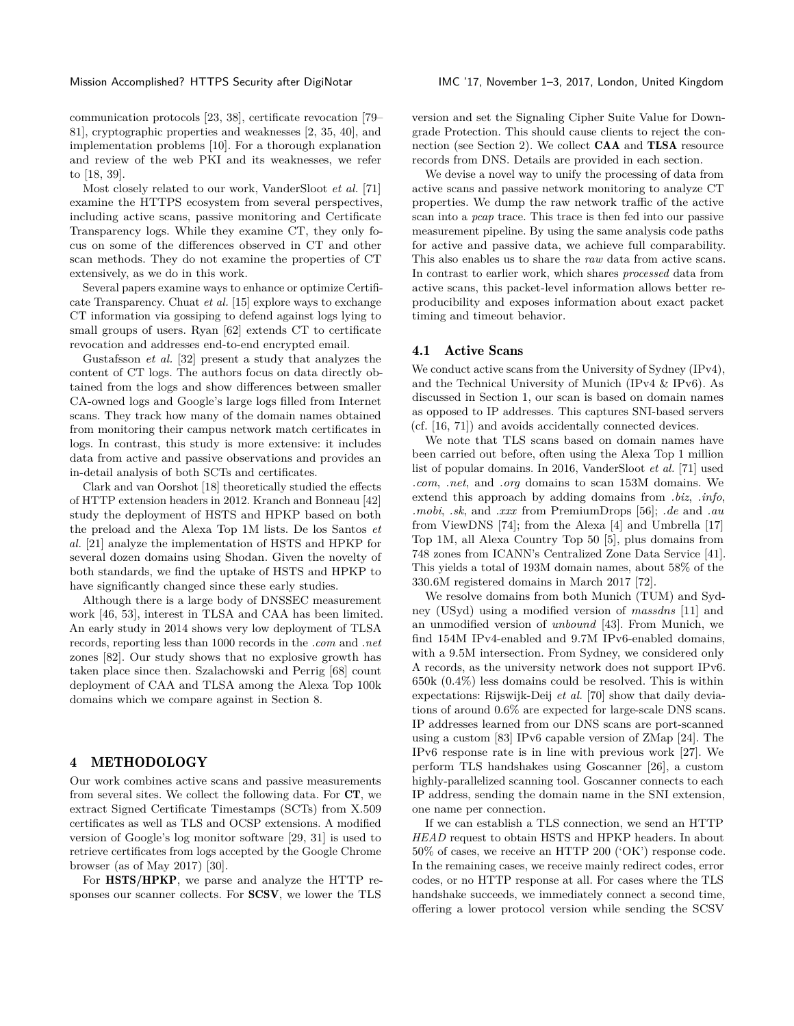communication protocols [\[23,](#page-14-13) [38\]](#page-14-14), certificate revocation [\[79–](#page-15-6) [81\]](#page-15-7), cryptographic properties and weaknesses [\[2,](#page-14-15) [35,](#page-14-16) [40\]](#page-14-17), and implementation problems [\[10\]](#page-14-18). For a thorough explanation and review of the web PKI and its weaknesses, we refer to [\[18,](#page-14-9) [39\]](#page-14-2).

Most closely related to our work, VanderSloot *et al.* [\[71\]](#page-15-4) examine the HTTPS ecosystem from several perspectives, including active scans, passive monitoring and Certificate Transparency logs. While they examine CT, they only focus on some of the differences observed in CT and other scan methods. They do not examine the properties of CT extensively, as we do in this work.

Several papers examine ways to enhance or optimize Certificate Transparency. Chuat *et al.* [\[15\]](#page-14-19) explore ways to exchange CT information via gossiping to defend against logs lying to small groups of users. Ryan [\[62\]](#page-15-8) extends CT to certificate revocation and addresses end-to-end encrypted email.

Gustafsson *et al.* [\[32\]](#page-14-20) present a study that analyzes the content of CT logs. The authors focus on data directly obtained from the logs and show differences between smaller CA-owned logs and Google's large logs filled from Internet scans. They track how many of the domain names obtained from monitoring their campus network match certificates in logs. In contrast, this study is more extensive: it includes data from active and passive observations and provides an in-detail analysis of both SCTs and certificates.

Clark and van Oorshot [\[18\]](#page-14-9) theoretically studied the effects of HTTP extension headers in 2012. Kranch and Bonneau [\[42\]](#page-14-21) study the deployment of HSTS and HPKP based on both the preload and the Alexa Top 1M lists. De los Santos *et al.* [\[21\]](#page-14-22) analyze the implementation of HSTS and HPKP for several dozen domains using Shodan. Given the novelty of both standards, we find the uptake of HSTS and HPKP to have significantly changed since these early studies.

Although there is a large body of DNSSEC measurement work [\[46,](#page-14-23) [53\]](#page-15-9), interest in TLSA and CAA has been limited. An early study in 2014 shows very low deployment of TLSA records, reporting less than 1000 records in the *.com* and *.net* zones [\[82\]](#page-15-10). Our study shows that no explosive growth has taken place since then. Szalachowski and Perrig [\[68\]](#page-15-11) count deployment of CAA and TLSA among the Alexa Top 100k domains which we compare against in Section [8.](#page-9-0)

### <span id="page-2-0"></span>4 METHODOLOGY

Our work combines active scans and passive measurements from several sites. We collect the following data. For CT, we extract Signed Certificate Timestamps (SCTs) from X.509 certificates as well as TLS and OCSP extensions. A modified version of Google's log monitor software [\[29,](#page-14-24) [31\]](#page-14-25) is used to retrieve certificates from logs accepted by the Google Chrome browser (as of May 2017) [\[30\]](#page-14-26).

For HSTS/HPKP, we parse and analyze the HTTP responses our scanner collects. For SCSV, we lower the TLS

version and set the Signaling Cipher Suite Value for Downgrade Protection. This should cause clients to reject the con-nection (see Section [2\)](#page-1-0). We collect **CAA** and **TLSA** resource records from DNS. Details are provided in each section.

We devise a novel way to unify the processing of data from active scans and passive network monitoring to analyze CT properties. We dump the raw network traffic of the active scan into a *pcap* trace. This trace is then fed into our passive measurement pipeline. By using the same analysis code paths for active and passive data, we achieve full comparability. This also enables us to share the *raw* data from active scans. In contrast to earlier work, which shares *processed* data from active scans, this packet-level information allows better reproducibility and exposes information about exact packet timing and timeout behavior.

#### 4.1 Active Scans

We conduct active scans from the University of Sydney (IPv4), and the Technical University of Munich (IPv4 & IPv6). As discussed in Section [1,](#page-0-0) our scan is based on domain names as opposed to IP addresses. This captures SNI-based servers (cf. [\[16,](#page-14-8) [71\]](#page-15-4)) and avoids accidentally connected devices.

We note that TLS scans based on domain names have been carried out before, often using the Alexa Top 1 million list of popular domains. In 2016, VanderSloot *et al.* [\[71\]](#page-15-4) used *.com*, *.net*, and *.org* domains to scan 153M domains. We extend this approach by adding domains from *.biz*, *.info*, *.mobi*, *.sk*, and *.xxx* from PremiumDrops [\[56\]](#page-15-12); *.de* and *.au* from ViewDNS [\[74\]](#page-15-13); from the Alexa [\[4\]](#page-14-27) and Umbrella [\[17\]](#page-14-28) Top 1M, all Alexa Country Top 50 [\[5\]](#page-14-29), plus domains from 748 zones from ICANN's Centralized Zone Data Service [\[41\]](#page-14-30). This yields a total of 193M domain names, about 58% of the 330.6M registered domains in March 2017 [\[72\]](#page-15-14).

We resolve domains from both Munich (TUM) and Sydney (USyd) using a modified version of *massdns* [\[11\]](#page-14-31) and an unmodified version of *unbound* [\[43\]](#page-14-32). From Munich, we find 154M IPv4-enabled and 9.7M IPv6-enabled domains, with a 9.5M intersection. From Sydney, we considered only A records, as the university network does not support IPv6. 650k (0.4%) less domains could be resolved. This is within expectations: Rijswijk-Deij *et al.* [\[70\]](#page-15-15) show that daily deviations of around 0.6% are expected for large-scale DNS scans. IP addresses learned from our DNS scans are port-scanned using a custom [\[83\]](#page-15-16) IPv6 capable version of ZMap [\[24\]](#page-14-1). The IPv6 response rate is in line with previous work [\[27\]](#page-14-33). We perform TLS handshakes using Goscanner [\[26\]](#page-14-34), a custom highly-parallelized scanning tool. Goscanner connects to each IP address, sending the domain name in the SNI extension, one name per connection.

If we can establish a TLS connection, we send an HTTP *HEAD* request to obtain HSTS and HPKP headers. In about 50% of cases, we receive an HTTP 200 ('OK') response code. In the remaining cases, we receive mainly redirect codes, error codes, or no HTTP response at all. For cases where the TLS handshake succeeds, we immediately connect a second time, offering a lower protocol version while sending the SCSV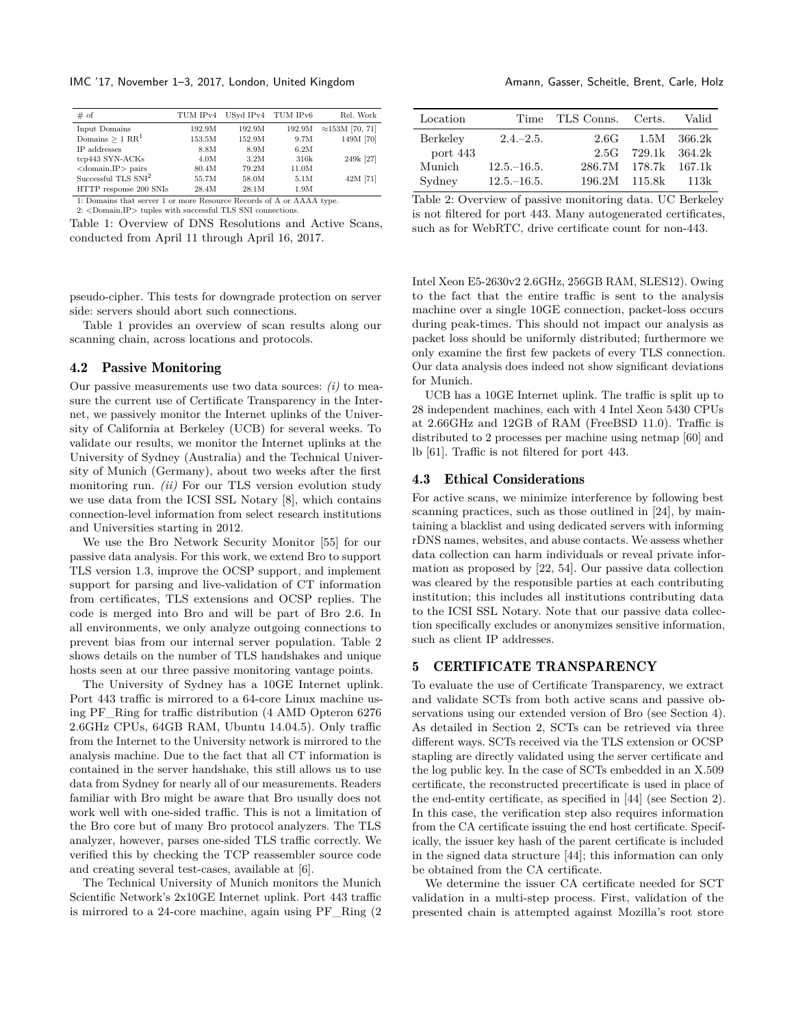IMC '17, November 1–3, 2017, London, United Kingdom Amann, Gasser, Scheitle, Brent, Carle, Holz

<span id="page-3-1"></span>

| # of                          | TUM IPv4 |        | USyd IPv4 TUM IPv6 | Rel. Work               |
|-------------------------------|----------|--------|--------------------|-------------------------|
| Input Domains                 | 192.9M   | 192.9M | 192.9M             | $\approx$ 153M [70, 71] |
| Domains $> 1$ RR <sup>1</sup> | 153.5M   | 152.9M | 9.7M               | 149M [70]               |
| IP addresses                  | 8.8M     | 8.9M   | 6.2M               |                         |
| tcp443 SYN-ACKs               | 4.0M     | 3.2M   | 316k               | 249k [27]               |
| $<$ domain, IP $>$ pairs      | 80.4M    | 79.2M  | 11.0M              |                         |
| Successful TLS $SNI2$         | 55.7M    | 58.0M  | 5.1M               | 42M [71]                |
| HTTP response 200 SNIs        | 28.4M    | 28.1M  | 1.9M               |                         |

1: Domains that server 1 or more Resource Records of A or AAAA type.  $2:$ <br/> $<$  Domain,IP $>$ tuples with successful TLS SNI connections.

Table 1: Overview of DNS Resolutions and Active Scans, conducted from April 11 through April 16, 2017.

pseudo-cipher. This tests for downgrade protection on server side: servers should abort such connections.

Table [1](#page-3-1) provides an overview of scan results along our scanning chain, across locations and protocols.

#### 4.2 Passive Monitoring

Our passive measurements use two data sources: *(i)* to measure the current use of Certificate Transparency in the Internet, we passively monitor the Internet uplinks of the University of California at Berkeley (UCB) for several weeks. To validate our results, we monitor the Internet uplinks at the University of Sydney (Australia) and the Technical University of Munich (Germany), about two weeks after the first monitoring run. *(ii)* For our TLS version evolution study we use data from the ICSI SSL Notary [\[8\]](#page-14-0), which contains connection-level information from select research institutions and Universities starting in 2012.

We use the Bro Network Security Monitor [\[55\]](#page-15-17) for our passive data analysis. For this work, we extend Bro to support TLS version 1.3, improve the OCSP support, and implement support for parsing and live-validation of CT information from certificates, TLS extensions and OCSP replies. The code is merged into Bro and will be part of Bro 2.6. In all environments, we only analyze outgoing connections to prevent bias from our internal server population. Table [2](#page-3-2) shows details on the number of TLS handshakes and unique hosts seen at our three passive monitoring vantage points.

The University of Sydney has a 10GE Internet uplink. Port 443 traffic is mirrored to a 64-core Linux machine using PF\_Ring for traffic distribution (4 AMD Opteron 6276 2.6GHz CPUs, 64GB RAM, Ubuntu 14.04.5). Only traffic from the Internet to the University network is mirrored to the analysis machine. Due to the fact that all CT information is contained in the server handshake, this still allows us to use data from Sydney for nearly all of our measurements. Readers familiar with Bro might be aware that Bro usually does not work well with one-sided traffic. This is not a limitation of the Bro core but of many Bro protocol analyzers. The TLS analyzer, however, parses one-sided TLS traffic correctly. We verified this by checking the TCP reassembler source code and creating several test-cases, available at [\[6\]](#page-14-35).

The Technical University of Munich monitors the Munich Scientific Network's 2x10GE Internet uplink. Port 443 traffic is mirrored to a 24-core machine, again using PF\_Ring (2

<span id="page-3-2"></span>

| Location | Time           | TLS Conns. Certs. |                      | Valid    |
|----------|----------------|-------------------|----------------------|----------|
| Berkeley | $2.4 - 2.5.$   | 2.6G              | $1.5\mathrm{M}$      | - 366.2k |
| port 443 |                |                   | $2.5G$ 729.1k 364.2k |          |
| Munich   | $12.5 - 16.5$  |                   | 286.7M 178.7k 167.1k |          |
| Sydney   | $12.5 - 16.5.$ | 196.2M            | 115.8k               | 113k     |

Table 2: Overview of passive monitoring data. UC Berkeley is not filtered for port 443. Many autogenerated certificates, such as for WebRTC, drive certificate count for non-443.

Intel Xeon E5-2630v2 2.6GHz, 256GB RAM, SLES12). Owing to the fact that the entire traffic is sent to the analysis machine over a single 10GE connection, packet-loss occurs during peak-times. This should not impact our analysis as packet loss should be uniformly distributed; furthermore we only examine the first few packets of every TLS connection. Our data analysis does indeed not show significant deviations for Munich.

UCB has a 10GE Internet uplink. The traffic is split up to 28 independent machines, each with 4 Intel Xeon 5430 CPUs at 2.66GHz and 12GB of RAM (FreeBSD 11.0). Traffic is distributed to 2 processes per machine using netmap [\[60\]](#page-15-18) and lb [\[61\]](#page-15-19). Traffic is not filtered for port 443.

#### 4.3 Ethical Considerations

For active scans, we minimize interference by following best scanning practices, such as those outlined in [\[24\]](#page-14-1), by maintaining a blacklist and using dedicated servers with informing rDNS names, websites, and abuse contacts. We assess whether data collection can harm individuals or reveal private information as proposed by [\[22,](#page-14-36) [54\]](#page-15-20). Our passive data collection was cleared by the responsible parties at each contributing institution; this includes all institutions contributing data to the ICSI SSL Notary. Note that our passive data collection specifically excludes or anonymizes sensitive information, such as client IP addresses.

### <span id="page-3-0"></span>5 CERTIFICATE TRANSPARENCY

To evaluate the use of Certificate Transparency, we extract and validate SCTs from both active scans and passive observations using our extended version of Bro (see Section [4\)](#page-2-0). As detailed in Section [2,](#page-1-0) SCTs can be retrieved via three different ways. SCTs received via the TLS extension or OCSP stapling are directly validated using the server certificate and the log public key. In the case of SCTs embedded in an X.509 certificate, the reconstructed precertificate is used in place of the end-entity certificate, as specified in [\[44\]](#page-14-3) (see Section [2\)](#page-1-0). In this case, the verification step also requires information from the CA certificate issuing the end host certificate. Specifically, the issuer key hash of the parent certificate is included in the signed data structure [\[44\]](#page-14-3); this information can only be obtained from the CA certificate.

We determine the issuer CA certificate needed for SCT validation in a multi-step process. First, validation of the presented chain is attempted against Mozilla's root store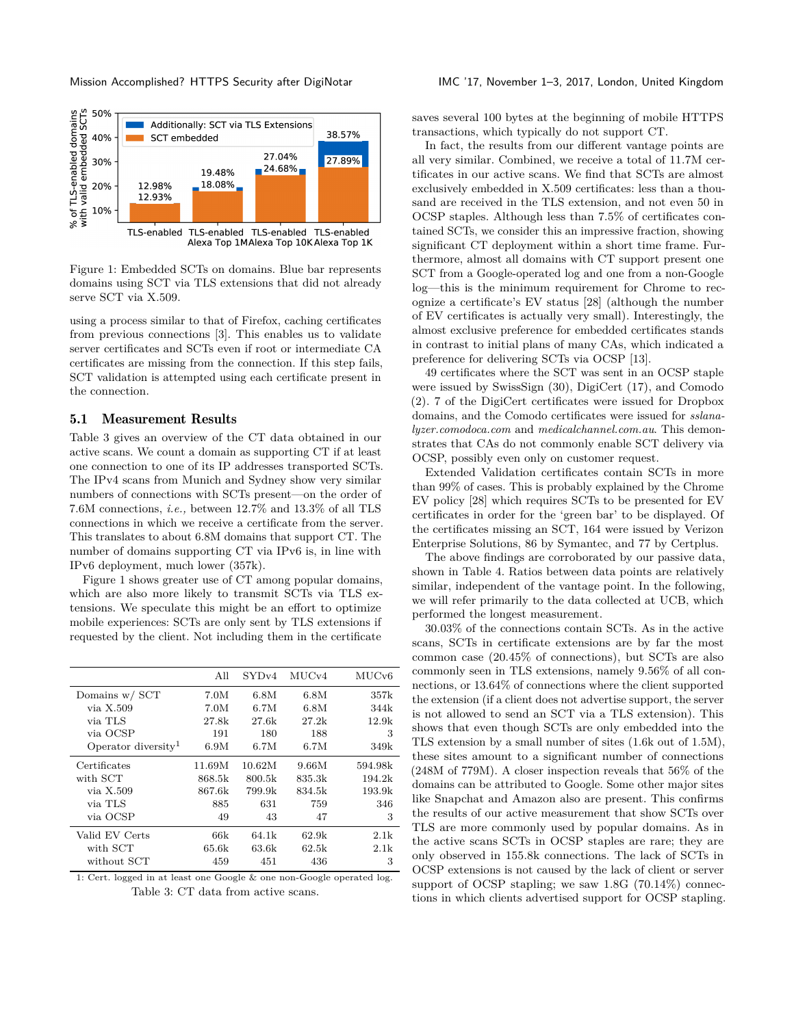<span id="page-4-1"></span>

Figure 1: Embedded SCTs on domains. Blue bar represents domains using SCT via TLS extensions that did not already serve SCT via X.509.

using a process similar to that of Firefox, caching certificates from previous connections [\[3\]](#page-14-11). This enables us to validate server certificates and SCTs even if root or intermediate CA certificates are missing from the connection. If this step fails, SCT validation is attempted using each certificate present in the connection.

#### 5.1 Measurement Results

Table [3](#page-4-0) gives an overview of the CT data obtained in our active scans. We count a domain as supporting CT if at least one connection to one of its IP addresses transported SCTs. The IPv4 scans from Munich and Sydney show very similar numbers of connections with SCTs present—on the order of 7.6M connections, *i.e.,* between 12.7% and 13.3% of all TLS connections in which we receive a certificate from the server. This translates to about 6.8M domains that support CT. The number of domains supporting CT via IPv6 is, in line with IPv6 deployment, much lower (357k).

Figure [1](#page-4-1) shows greater use of CT among popular domains, which are also more likely to transmit SCTs via TLS extensions. We speculate this might be an effort to optimize mobile experiences: SCTs are only sent by TLS extensions if requested by the client. Not including them in the certificate

<span id="page-4-0"></span>

|                                 | All    | SVDv4  | MUCv4  | MUC <sub>v</sub> 6 |
|---------------------------------|--------|--------|--------|--------------------|
| Domains $w /$ SCT               | 7.0M   | 6.8M   | 6.8M   | 357k               |
| via X.509                       | 7.0M   | 6.7M   | 6.8M   | 344k               |
| via TLS                         | 27.8k  | 27.6k  | 27.2k  | 12.9k              |
| via OCSP                        | 191    | 180    | 188    | 3                  |
| Operator diversity <sup>1</sup> | 6.9M   | 6.7M   | 6.7M   | 349k               |
| Certificates                    | 11.69M | 10.62M | 9.66M  | 594.98k            |
| with SCT                        | 868.5k | 800.5k | 835.3k | 194.2k             |
| via X.509                       | 867.6k | 799.9k | 834.5k | 193.9k             |
| via TLS                         | 885    | 631    | 759    | 346                |
| via OCSP                        | 49     | 43     | 47     | 3                  |
| Valid EV Certs                  | 66k    | 64.1k  | 62.9k  | 2.1k               |
| with SCT                        | 65.6k  | 63.6k  | 62.5k  | 2.1k               |
| without SCT                     | 459    | 451    | 436    | 3                  |

1: Cert. logged in at least one Google & one non-Google operated log. Table 3: CT data from active scans.

saves several 100 bytes at the beginning of mobile HTTPS transactions, which typically do not support CT.

In fact, the results from our different vantage points are all very similar. Combined, we receive a total of 11.7M certificates in our active scans. We find that SCTs are almost exclusively embedded in X.509 certificates: less than a thousand are received in the TLS extension, and not even 50 in OCSP staples. Although less than 7.5% of certificates contained SCTs, we consider this an impressive fraction, showing significant CT deployment within a short time frame. Furthermore, almost all domains with CT support present one SCT from a Google-operated log and one from a non-Google log—this is the minimum requirement for Chrome to recognize a certificate's EV status [\[28\]](#page-14-37) (although the number of EV certificates is actually very small). Interestingly, the almost exclusive preference for embedded certificates stands in contrast to initial plans of many CAs, which indicated a preference for delivering SCTs via OCSP [\[13\]](#page-14-38).

49 certificates where the SCT was sent in an OCSP staple were issued by SwissSign (30), DigiCert (17), and Comodo (2). 7 of the DigiCert certificates were issued for Dropbox domains, and the Comodo certificates were issued for *sslanalyzer.comodoca.com* and *medicalchannel.com.au*. This demonstrates that CAs do not commonly enable SCT delivery via OCSP, possibly even only on customer request.

Extended Validation certificates contain SCTs in more than 99% of cases. This is probably explained by the Chrome EV policy [\[28\]](#page-14-37) which requires SCTs to be presented for EV certificates in order for the 'green bar' to be displayed. Of the certificates missing an SCT, 164 were issued by Verizon Enterprise Solutions, 86 by Symantec, and 77 by Certplus.

The above findings are corroborated by our passive data, shown in Table [4.](#page-5-0) Ratios between data points are relatively similar, independent of the vantage point. In the following, we will refer primarily to the data collected at UCB, which performed the longest measurement.

30.03% of the connections contain SCTs. As in the active scans, SCTs in certificate extensions are by far the most common case (20.45% of connections), but SCTs are also commonly seen in TLS extensions, namely 9.56% of all connections, or 13.64% of connections where the client supported the extension (if a client does not advertise support, the server is not allowed to send an SCT via a TLS extension). This shows that even though SCTs are only embedded into the TLS extension by a small number of sites (1.6k out of 1.5M), these sites amount to a significant number of connections (248M of 779M). A closer inspection reveals that 56% of the domains can be attributed to Google. Some other major sites like Snapchat and Amazon also are present. This confirms the results of our active measurement that show SCTs over TLS are more commonly used by popular domains. As in the active scans SCTs in OCSP staples are rare; they are only observed in 155.8k connections. The lack of SCTs in OCSP extensions is not caused by the lack of client or server support of OCSP stapling; we saw 1.8G (70.14%) connections in which clients advertised support for OCSP stapling.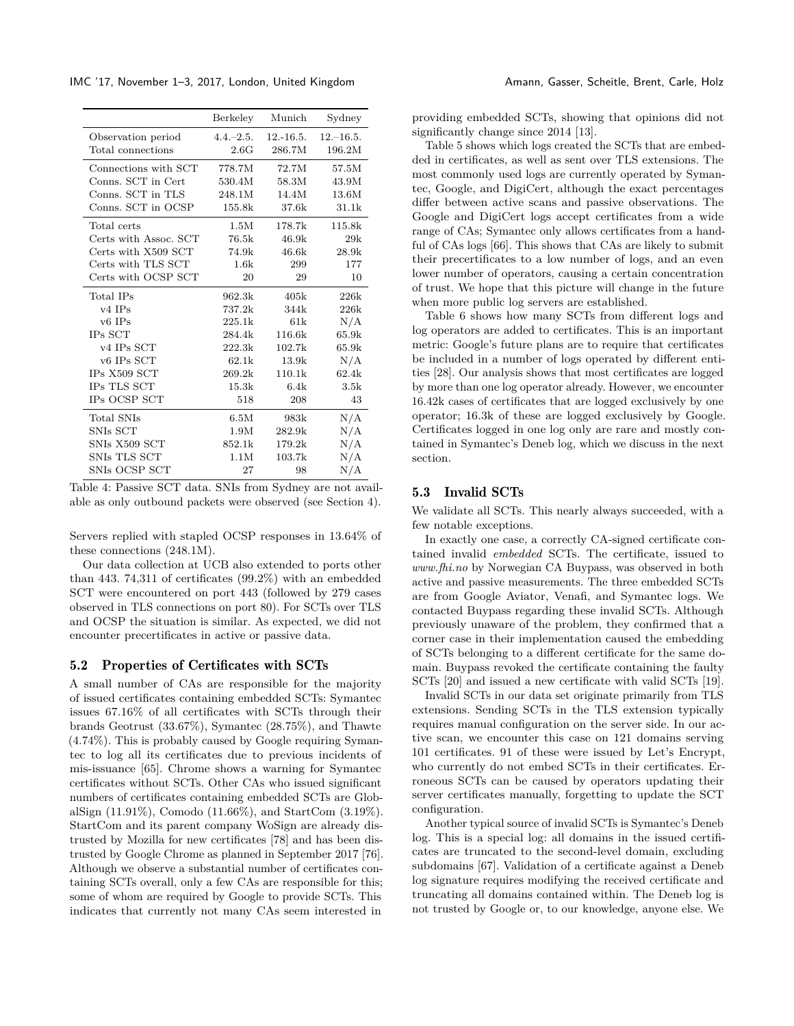IMC '17, November 1–3, 2017, London, United Kingdom Amann, Gasser, Scheitle, Brent, Carle, Holz

<span id="page-5-0"></span>

|                                    | Berkeley     | Munich      | Sydney        |
|------------------------------------|--------------|-------------|---------------|
| Observation period                 | $4.4 - 2.5.$ | $12.-16.5.$ | $12 - 16.5$ . |
| Total connections                  | 2.6G         | 286.7M      | 196.2M        |
| Connections with SCT               | 778.7M       | 72.7M       | 57.5M         |
| Conns. SCT in Cert                 | 530.4M       | 58.3M       | 43.9M         |
| Conns. SCT in TLS                  | 248.1M       | 14.4M       | 13.6M         |
| Conns. SCT in OCSP                 | 155.8k       | 37.6k       | 31.1k         |
| Total certs                        | $1.5M$       | 178.7k      | 115.8k        |
| Certs with Assoc. SCT              | 76.5k        | 46.9k       | 29k           |
| Certs with X509 SCT                | 74.9k        | 46.6k       | 28.9k         |
| Certs with TLS SCT                 | 1.6k         | 299         | 177           |
| Certs with OCSP SCT                | 20           | 29          | 10            |
| Total IPs                          | 962.3k       | 405k        | 226k          |
| $v4$ IPs                           | 737.2k       | 344k        | 226k          |
| $v6$ IPs                           | 225.1k       | 61k         | N/A           |
| IPs SCT                            | 284.4k       | 116.6k      | 65.9k         |
| v4 IPs SCT                         | 222.3k       | 102.7k      | 65.9k         |
| v <sub>6</sub> IP <sub>s</sub> SCT | 62.1k        | 13.9k       | N/A           |
| IPs X509 SCT                       | 269.2k       | 110.1k      | 62.4k         |
| IPs TLS SCT                        | 15.3k        | 6.4k        | 3.5k          |
| IPs OCSP SCT                       | 518          | 208         | 43            |
| Total SNIs                         | 6.5M         | 983k        | N/A           |
| SNIs SCT                           | 1.9M         | 282.9k      | N/A           |
| SNIs X509 SCT                      | 852.1k       | 179.2k      | N/A           |
| SNIs TLS SCT                       | 1.1M         | 103.7k      | N/A           |
| SNIs OCSP SCT                      | 27           | 98          | N/A           |

Table 4: Passive SCT data. SNIs from Sydney are not available as only outbound packets were observed (see Section [4\)](#page-2-0).

Servers replied with stapled OCSP responses in 13.64% of these connections (248.1M).

Our data collection at UCB also extended to ports other than 443. 74*,*311 of certificates (99.2%) with an embedded SCT were encountered on port 443 (followed by 279 cases observed in TLS connections on port 80). For SCTs over TLS and OCSP the situation is similar. As expected, we did not encounter precertificates in active or passive data.

#### 5.2 Properties of Certificates with SCTs

A small number of CAs are responsible for the majority of issued certificates containing embedded SCTs: Symantec issues 67.16% of all certificates with SCTs through their brands Geotrust (33.67%), Symantec (28.75%), and Thawte (4.74%). This is probably caused by Google requiring Symantec to log all its certificates due to previous incidents of mis-issuance [\[65\]](#page-15-21). Chrome shows a warning for Symantec certificates without SCTs. Other CAs who issued significant numbers of certificates containing embedded SCTs are GlobalSign (11.91%), Comodo (11.66%), and StartCom (3.19%). StartCom and its parent company WoSign are already distrusted by Mozilla for new certificates [\[78\]](#page-15-22) and has been distrusted by Google Chrome as planned in September 2017 [\[76\]](#page-15-23). Although we observe a substantial number of certificates containing SCTs overall, only a few CAs are responsible for this; some of whom are required by Google to provide SCTs. This indicates that currently not many CAs seem interested in

providing embedded SCTs, showing that opinions did not significantly change since 2014 [\[13\]](#page-14-38).

Table [5](#page-6-1) shows which logs created the SCTs that are embedded in certificates, as well as sent over TLS extensions. The most commonly used logs are currently operated by Symantec, Google, and DigiCert, although the exact percentages differ between active scans and passive observations. The Google and DigiCert logs accept certificates from a wide range of CAs; Symantec only allows certificates from a handful of CAs logs [\[66\]](#page-15-24). This shows that CAs are likely to submit their precertificates to a low number of logs, and an even lower number of operators, causing a certain concentration of trust. We hope that this picture will change in the future when more public log servers are established.

Table [6](#page-6-2) shows how many SCTs from different logs and log operators are added to certificates. This is an important metric: Google's future plans are to require that certificates be included in a number of logs operated by different entities [\[28\]](#page-14-37). Our analysis shows that most certificates are logged by more than one log operator already. However, we encounter 16.42k cases of certificates that are logged exclusively by one operator; 16.3k of these are logged exclusively by Google. Certificates logged in one log only are rare and mostly contained in Symantec's Deneb log, which we discuss in the next section.

## <span id="page-5-1"></span>5.3 Invalid SCTs

We validate all SCTs. This nearly always succeeded, with a few notable exceptions.

In exactly one case, a correctly CA-signed certificate contained invalid *embedded* SCTs. The certificate, issued to *www.fhi.no* by Norwegian CA Buypass, was observed in both active and passive measurements. The three embedded SCTs are from Google Aviator, Venafi, and Symantec logs. We contacted Buypass regarding these invalid SCTs. Although previously unaware of the problem, they confirmed that a corner case in their implementation caused the embedding of SCTs belonging to a different certificate for the same domain. Buypass revoked the certificate containing the faulty SCTs [\[20\]](#page-14-39) and issued a new certificate with valid SCTs [\[19\]](#page-14-40).

Invalid SCTs in our data set originate primarily from TLS extensions. Sending SCTs in the TLS extension typically requires manual configuration on the server side. In our active scan, we encounter this case on 121 domains serving 101 certificates. 91 of these were issued by Let's Encrypt, who currently do not embed SCTs in their certificates. Erroneous SCTs can be caused by operators updating their server certificates manually, forgetting to update the SCT configuration.

Another typical source of invalid SCTs is Symantec's Deneb log. This is a special log: all domains in the issued certificates are truncated to the second-level domain, excluding subdomains [\[67\]](#page-15-25). Validation of a certificate against a Deneb log signature requires modifying the received certificate and truncating all domains contained within. The Deneb log is not trusted by Google or, to our knowledge, anyone else. We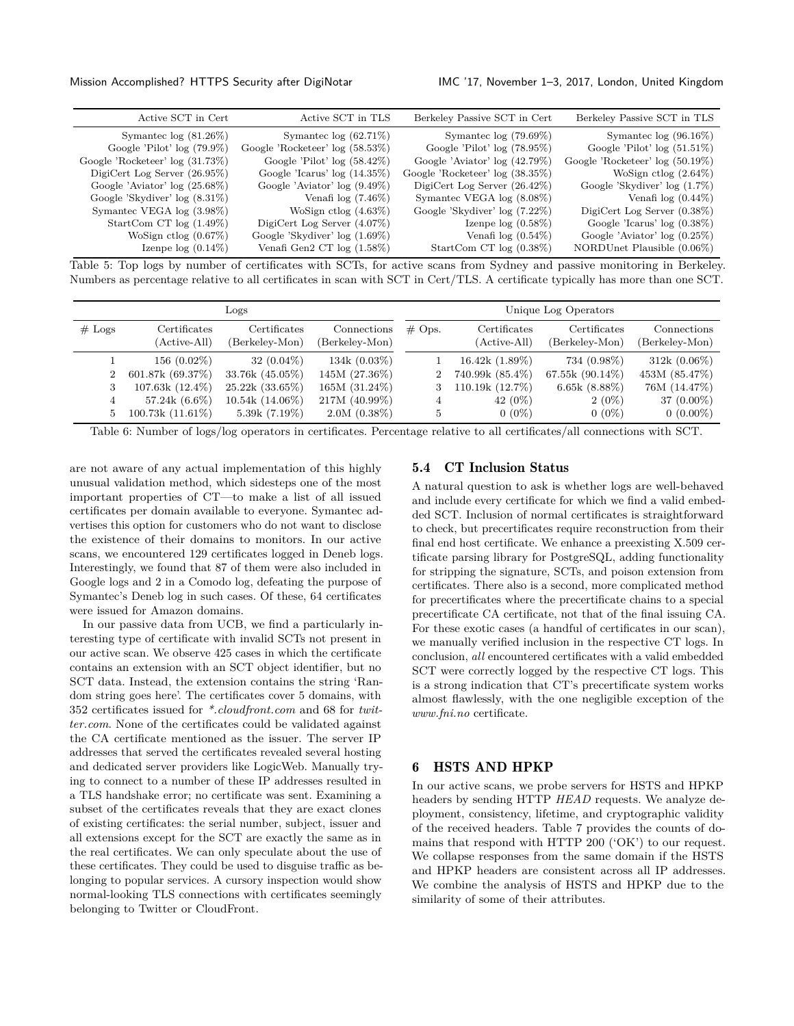<span id="page-6-1"></span>

| Active SCT in Cert              | Active SCT in TLS               | Berkeley Passive SCT in Cert    | Berkeley Passive SCT in TLS     |
|---------------------------------|---------------------------------|---------------------------------|---------------------------------|
| Symantec $log(81.26\%)$         | Symantec $log(62.71\%)$         | Symantec $log(79.69\%)$         | Symantec $log(96.16\%)$         |
| Google 'Pilot' $log(79.9\%)$    | Google 'Rocketeer' log (58.53%) | Google 'Pilot' $log(78.95\%)$   | Google 'Pilot' $log(51.51\%)$   |
| Google 'Rocketeer' log (31.73%) | Google 'Pilot' $log(58.42\%)$   | Google 'Aviator' $log(42.79%)$  | Google 'Rocketeer' log (50.19%) |
| DigiCert Log Server $(26.95\%)$ | Google 'Icarus' $log(14.35\%)$  | Google 'Rocketeer' log (38.35%) | WoSign ctlog $(2.64\%)$         |
| Google 'Aviator' $log(25.68\%)$ | Google 'Aviator' $log(9.49\%)$  | DigiCert Log Server $(26.42\%)$ | Google 'Skydiver' $log(1.7\%)$  |
| Google 'Skydiver' $log(8.31\%)$ | Venafi $log(7.46\%)$            | Symantec VEGA $log(8.08\%)$     | Venafi $log(0.44\%)$            |
| Symantec VEGA $log(3.98\%)$     | WoSign ctlog $(4.63\%)$         | Google 'Skydiver' log (7.22%)   | DigiCert Log Server $(0.38\%)$  |
| StartCom CT $log(1.49\%)$       | DigiCert Log Server $(4.07\%)$  | Izenpe $log(0.58\%)$            | Google 'Icarus' $log(0.38\%)$   |
| WoSign ctlog $(0.67\%)$         | Google 'Skydiver' $log(1.69\%)$ | Venafi $log(0.54\%)$            | Google 'Aviator' $log(0.25\%)$  |
| Izenpe $log(0.14\%)$            | Venafi Gen2 CT $log(1.58\%)$    | StartCom CT $log(0.38\%)$       | NORDUnet Plausible (0.06%)      |

Table 5: Top logs by number of certificates with SCTs, for active scans from Sydney and passive monitoring in Berkeley. Numbers as percentage relative to all certificates in scan with SCT in Cert/TLS. A certificate typically has more than one SCT.

<span id="page-6-2"></span>

| Logs           |                              |                                |                               |                |                              | Unique Log Operators           |                               |
|----------------|------------------------------|--------------------------------|-------------------------------|----------------|------------------------------|--------------------------------|-------------------------------|
| $#$ Logs       | Certificates<br>(Active-All) | Certificates<br>(Berkeley-Mon) | Connections<br>(Berkeley-Mon) | $\#$ Ops.      | Certificates<br>(Active-All) | Certificates<br>(Berkeley-Mon) | Connections<br>(Berkeley-Mon) |
|                | $156(0.02\%)$                | 32 $(0.04\%)$                  | 134k $(0.03\%)$               |                | 16.42k(1.89%)                | 734 (0.98%)                    | $312k(0.06\%)$                |
| $\overline{2}$ | 601.87k (69.37%)             | 33.76k (45.05%)                | 145M (27.36%)                 | $\overline{2}$ | 740.99k (85.4%)              | 67.55 $k(90.14\%)$             | 453M (85.47%)                 |
| 3              | $107.63k(12.4\%)$            | $25.22k(33.65\%)$              | 165M (31.24%)                 |                | 110.19k (12.7%)              | 6.65 $k(8.88\%)$               | 76M (14.47%)                  |
| 4              | 57.24 $k(6.6\%)$             | $10.54k(14.06\%)$              | 217M (40.99%)                 | 4              | 42 $(0\%)$                   | $2(0\%)$                       | $37(0.00\%)$                  |
| 5              | $100.73k(11.61\%)$           | $5.39k(7.19\%)$                | $2.0M(0.38\%)$                | 5              | $0(0\%)$                     | $0(0\%)$                       | $0(0.00\%)$                   |

Table 6: Number of logs/log operators in certificates. Percentage relative to all certificates/all connections with SCT.

are not aware of any actual implementation of this highly unusual validation method, which sidesteps one of the most important properties of CT—to make a list of all issued certificates per domain available to everyone. Symantec advertises this option for customers who do not want to disclose the existence of their domains to monitors. In our active scans, we encountered 129 certificates logged in Deneb logs. Interestingly, we found that 87 of them were also included in Google logs and 2 in a Comodo log, defeating the purpose of Symantec's Deneb log in such cases. Of these, 64 certificates were issued for Amazon domains.

In our passive data from UCB, we find a particularly interesting type of certificate with invalid SCTs not present in our active scan. We observe 425 cases in which the certificate contains an extension with an SCT object identifier, but no SCT data. Instead, the extension contains the string 'Random string goes here'. The certificates cover 5 domains, with 352 certificates issued for *\*.cloudfront.com* and 68 for *twitter.com*. None of the certificates could be validated against the CA certificate mentioned as the issuer. The server IP addresses that served the certificates revealed several hosting and dedicated server providers like LogicWeb. Manually trying to connect to a number of these IP addresses resulted in a TLS handshake error; no certificate was sent. Examining a subset of the certificates reveals that they are exact clones of existing certificates: the serial number, subject, issuer and all extensions except for the SCT are exactly the same as in the real certificates. We can only speculate about the use of these certificates. They could be used to disguise traffic as belonging to popular services. A cursory inspection would show normal-looking TLS connections with certificates seemingly belonging to Twitter or CloudFront.

# 5.4 CT Inclusion Status

A natural question to ask is whether logs are well-behaved and include every certificate for which we find a valid embedded SCT. Inclusion of normal certificates is straightforward to check, but precertificates require reconstruction from their final end host certificate. We enhance a preexisting X.509 certificate parsing library for PostgreSQL, adding functionality for stripping the signature, SCTs, and poison extension from certificates. There also is a second, more complicated method for precertificates where the precertificate chains to a special precertificate CA certificate, not that of the final issuing CA. For these exotic cases (a handful of certificates in our scan), we manually verified inclusion in the respective CT logs. In conclusion, *all* encountered certificates with a valid embedded SCT were correctly logged by the respective CT logs. This is a strong indication that CT's precertificate system works almost flawlessly, with the one negligible exception of the *www.fni.no* certificate.

# <span id="page-6-0"></span>6 HSTS AND HPKP

In our active scans, we probe servers for HSTS and HPKP headers by sending HTTP *HEAD* requests. We analyze deployment, consistency, lifetime, and cryptographic validity of the received headers. Table [7](#page-7-0) provides the counts of domains that respond with HTTP 200 ('OK') to our request. We collapse responses from the same domain if the HSTS and HPKP headers are consistent across all IP addresses. We combine the analysis of HSTS and HPKP due to the similarity of some of their attributes.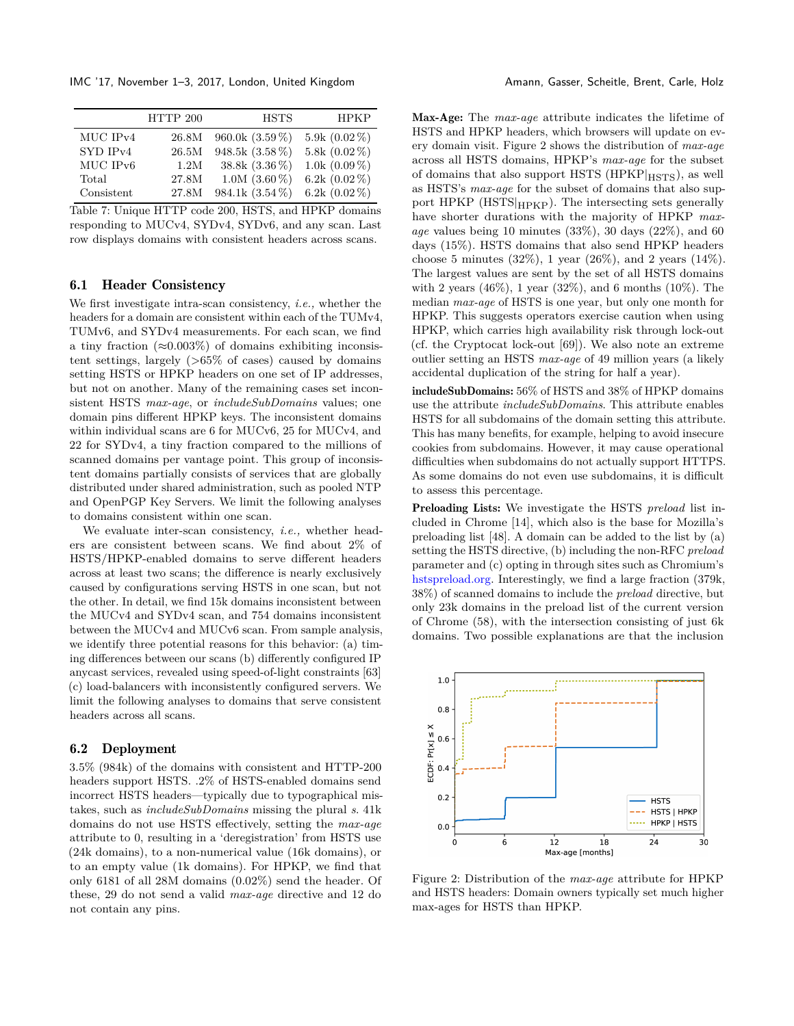IMC '17, November 1–3, 2017, London, United Kingdom Amann, Gasser, Scheitle, Brent, Carle, Holz

<span id="page-7-0"></span>

|                      | HTTP 200 | <b>HSTS</b>       | <b>HPKP</b>     |
|----------------------|----------|-------------------|-----------------|
| MUC IPv4             | 26.8M    | $960.0k(3.59\%)$  | 5.9k $(0.02\%)$ |
| SYD IP <sub>v4</sub> | 26.5M    | 948.5k (3.58 %)   | 5.8k $(0.02\%)$ |
| MUC IPv6             | 1.2M     | 38.8k $(3.36\%)$  | 1.0k $(0.09\%)$ |
| Total                | 27.8M    | $1.0M$ $(3.60\%)$ | 6.2k $(0.02\%)$ |
| Consistent           | 27.8M    | $984.1k(3.54\%)$  | 6.2k $(0.02\%)$ |

Table 7: Unique HTTP code 200, HSTS, and HPKP domains responding to MUCv4, SYDv4, SYDv6, and any scan. Last row displays domains with consistent headers across scans.

# 6.1 Header Consistency

We first investigate intra-scan consistency, *i.e.,* whether the headers for a domain are consistent within each of the TUMv4, TUMv6, and SYDv4 measurements. For each scan, we find a tiny fraction ( $\approx 0.003\%$ ) of domains exhibiting inconsistent settings, largely (*>*65% of cases) caused by domains setting HSTS or HPKP headers on one set of IP addresses, but not on another. Many of the remaining cases set inconsistent HSTS *max-age*, or *includeSubDomains* values; one domain pins different HPKP keys. The inconsistent domains within individual scans are 6 for MUCv6, 25 for MUCv4, and 22 for SYDv4, a tiny fraction compared to the millions of scanned domains per vantage point. This group of inconsistent domains partially consists of services that are globally distributed under shared administration, such as pooled NTP and OpenPGP Key Servers. We limit the following analyses to domains consistent within one scan.

We evaluate inter-scan consistency, *i.e.,* whether headers are consistent between scans. We find about 2% of HSTS/HPKP-enabled domains to serve different headers across at least two scans; the difference is nearly exclusively caused by configurations serving HSTS in one scan, but not the other. In detail, we find 15k domains inconsistent between the MUCv4 and SYDv4 scan, and 754 domains inconsistent between the MUCv4 and MUCv6 scan. From sample analysis, we identify three potential reasons for this behavior: (a) timing differences between our scans (b) differently configured IP anycast services, revealed using speed-of-light constraints [\[63\]](#page-15-26) (c) load-balancers with inconsistently configured servers. We limit the following analyses to domains that serve consistent headers across all scans.

#### <span id="page-7-2"></span>6.2 Deployment

3.5% (984k) of the domains with consistent and HTTP-200 headers support HSTS. .2% of HSTS-enabled domains send incorrect HSTS headers—typically due to typographical mistakes, such as *includeSubDomains* missing the plural *s*. 41k domains do not use HSTS effectively, setting the *max-age* attribute to 0, resulting in a 'deregistration' from HSTS use (24k domains), to a non-numerical value (16k domains), or to an empty value (1k domains). For HPKP, we find that only 6181 of all 28M domains (0.02%) send the header. Of these, 29 do not send a valid *max-age* directive and 12 do not contain any pins.

Max-Age: The *max-age* attribute indicates the lifetime of HSTS and HPKP headers, which browsers will update on every domain visit. Figure [2](#page-7-1) shows the distribution of *max-age* across all HSTS domains, HPKP's *max-age* for the subset of domains that also support HSTS ( $HPKP|_{HSTS}$ ), as well as HSTS's *max-age* for the subset of domains that also support HPKP (HSTS|HPKP). The intersecting sets generally have shorter durations with the majority of HPKP *maxage* values being 10 minutes (33%), 30 days (22%), and 60 days (15%). HSTS domains that also send HPKP headers choose 5 minutes (32%), 1 year (26%), and 2 years (14%). The largest values are sent by the set of all HSTS domains with 2 years  $(46\%)$ , 1 year  $(32\%)$ , and 6 months  $(10\%)$ . The median *max-age* of HSTS is one year, but only one month for HPKP. This suggests operators exercise caution when using HPKP, which carries high availability risk through lock-out (cf. the Cryptocat lock-out [\[69\]](#page-15-27)). We also note an extreme outlier setting an HSTS *max-age* of 49 million years (a likely accidental duplication of the string for half a year).

includeSubDomains: 56% of HSTS and 38% of HPKP domains use the attribute *includeSubDomains*. This attribute enables HSTS for all subdomains of the domain setting this attribute. This has many benefits, for example, helping to avoid insecure cookies from subdomains. However, it may cause operational difficulties when subdomains do not actually support HTTPS. As some domains do not even use subdomains, it is difficult to assess this percentage.

Preloading Lists: We investigate the HSTS *preload* list included in Chrome [\[14\]](#page-14-41), which also is the base for Mozilla's preloading list [\[48\]](#page-15-28). A domain can be added to the list by (a) setting the HSTS directive, (b) including the non-RFC *preload* parameter and (c) opting in through sites such as Chromium's [hstspreload.org.](hstspreload.org) Interestingly, we find a large fraction (379k, 38%) of scanned domains to include the *preload* directive, but only 23k domains in the preload list of the current version of Chrome (58), with the intersection consisting of just 6k domains. Two possible explanations are that the inclusion

<span id="page-7-1"></span>

Figure 2: Distribution of the *max-age* attribute for HPKP and HSTS headers: Domain owners typically set much higher max-ages for HSTS than HPKP.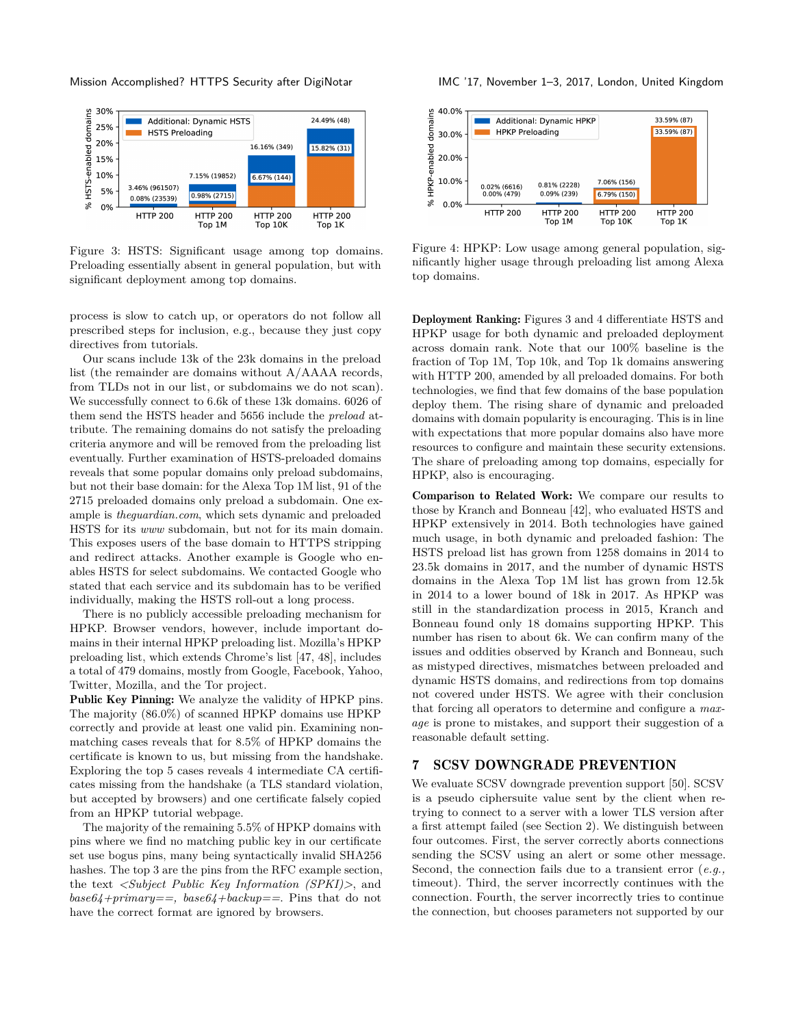<span id="page-8-1"></span>

Figure 3: HSTS: Significant usage among top domains. Preloading essentially absent in general population, but with significant deployment among top domains.

process is slow to catch up, or operators do not follow all prescribed steps for inclusion, e.g., because they just copy directives from tutorials.

Our scans include 13k of the 23k domains in the preload list (the remainder are domains without A/AAAA records, from TLDs not in our list, or subdomains we do not scan). We successfully connect to 6.6k of these 13k domains. 6026 of them send the HSTS header and 5656 include the *preload* attribute. The remaining domains do not satisfy the preloading criteria anymore and will be removed from the preloading list eventually. Further examination of HSTS-preloaded domains reveals that some popular domains only preload subdomains, but not their base domain: for the Alexa Top 1M list, 91 of the 2715 preloaded domains only preload a subdomain. One example is *theguardian.com*, which sets dynamic and preloaded HSTS for its *www* subdomain, but not for its main domain. This exposes users of the base domain to HTTPS stripping and redirect attacks. Another example is Google who enables HSTS for select subdomains. We contacted Google who stated that each service and its subdomain has to be verified individually, making the HSTS roll-out a long process.

There is no publicly accessible preloading mechanism for HPKP. Browser vendors, however, include important domains in their internal HPKP preloading list. Mozilla's HPKP preloading list, which extends Chrome's list [\[47,](#page-14-42) [48\]](#page-15-28), includes a total of 479 domains, mostly from Google, Facebook, Yahoo, Twitter, Mozilla, and the Tor project.

Public Key Pinning: We analyze the validity of HPKP pins. The majority (86.0%) of scanned HPKP domains use HPKP correctly and provide at least one valid pin. Examining nonmatching cases reveals that for 8.5% of HPKP domains the certificate is known to us, but missing from the handshake. Exploring the top 5 cases reveals 4 intermediate CA certificates missing from the handshake (a TLS standard violation, but accepted by browsers) and one certificate falsely copied from an HPKP tutorial webpage.

The majority of the remaining 5.5% of HPKP domains with pins where we find no matching public key in our certificate set use bogus pins, many being syntactically invalid SHA256 hashes. The top 3 are the pins from the RFC example section, the text *<Subject Public Key Information (SPKI)>*, and *base64+primary==, base64+backup==*. Pins that do not have the correct format are ignored by browsers.

<span id="page-8-2"></span>

Figure 4: HPKP: Low usage among general population, significantly higher usage through preloading list among Alexa top domains.

Deployment Ranking: Figures [3](#page-8-1) and [4](#page-8-2) differentiate HSTS and HPKP usage for both dynamic and preloaded deployment across domain rank. Note that our 100% baseline is the fraction of Top 1M, Top 10k, and Top 1k domains answering with HTTP 200, amended by all preloaded domains. For both technologies, we find that few domains of the base population deploy them. The rising share of dynamic and preloaded domains with domain popularity is encouraging. This is in line with expectations that more popular domains also have more resources to configure and maintain these security extensions. The share of preloading among top domains, especially for HPKP, also is encouraging.

Comparison to Related Work: We compare our results to those by Kranch and Bonneau [\[42\]](#page-14-21), who evaluated HSTS and HPKP extensively in 2014. Both technologies have gained much usage, in both dynamic and preloaded fashion: The HSTS preload list has grown from 1258 domains in 2014 to 23.5k domains in 2017, and the number of dynamic HSTS domains in the Alexa Top 1M list has grown from 12.5k in 2014 to a lower bound of 18k in 2017. As HPKP was still in the standardization process in 2015, Kranch and Bonneau found only 18 domains supporting HPKP. This number has risen to about 6k. We can confirm many of the issues and oddities observed by Kranch and Bonneau, such as mistyped directives, mismatches between preloaded and dynamic HSTS domains, and redirections from top domains not covered under HSTS. We agree with their conclusion that forcing all operators to determine and configure a *maxage* is prone to mistakes, and support their suggestion of a reasonable default setting.

#### <span id="page-8-0"></span>7 SCSV DOWNGRADE PREVENTION

We evaluate SCSV downgrade prevention support [\[50\]](#page-15-3). SCSV is a pseudo ciphersuite value sent by the client when retrying to connect to a server with a lower TLS version after a first attempt failed (see Section [2\)](#page-1-0). We distinguish between four outcomes. First, the server correctly aborts connections sending the SCSV using an alert or some other message. Second, the connection fails due to a transient error (*e.g.,* timeout). Third, the server incorrectly continues with the connection. Fourth, the server incorrectly tries to continue the connection, but chooses parameters not supported by our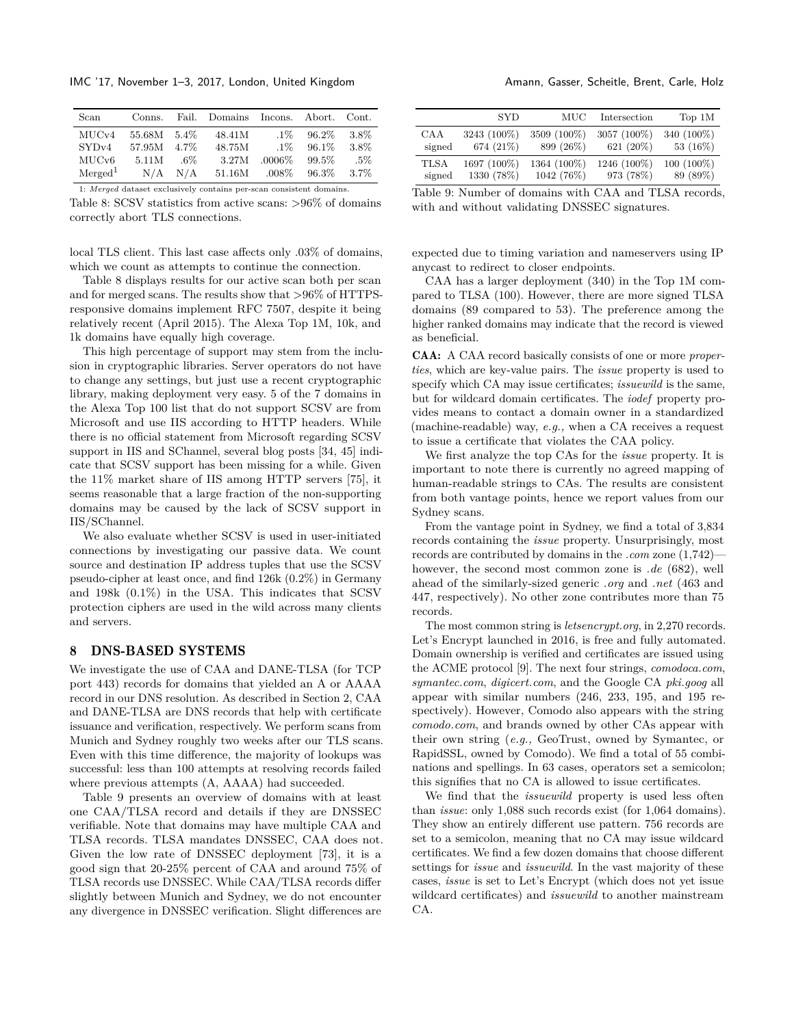IMC '17, November 1–3, 2017, London, United Kingdom Amann, Gasser, Scheitle, Brent, Carle, Holz

<span id="page-9-1"></span>

| Scan                | Conns.                                                              |         | Fail. Domains | Incons.   | Abort. | Cont.   |  |  |  |  |  |
|---------------------|---------------------------------------------------------------------|---------|---------------|-----------|--------|---------|--|--|--|--|--|
| MUC <sub>v4</sub>   | 55.68M                                                              | $5.4\%$ | 48.41M        | $.1\%$    | 96.2%  | 3.8%    |  |  |  |  |  |
| SYD <sub>v4</sub>   | 57.95M                                                              | 4.7%    | 48.75M        | $.1\%$    | 96.1\% | 3.8%    |  |  |  |  |  |
| MUC <sub>v</sub> 6  | 5.11M                                                               | .6%     | 3.27M         | $.0006\%$ | 99.5%  | $.5\%$  |  |  |  |  |  |
| Merged <sup>1</sup> | N/A                                                                 | N/A     | 51.16M        | $.008\%$  | 96.3%  | $3.7\%$ |  |  |  |  |  |
|                     | 1: Merged dataset exclusively contains per-scan consistent domains. |         |               |           |        |         |  |  |  |  |  |

Table 8: SCSV statistics from active scans: *>*96% of domains correctly abort TLS connections.

local TLS client. This last case affects only .03% of domains, which we count as attempts to continue the connection.

Table [8](#page-9-1) displays results for our active scan both per scan and for merged scans. The results show that *>*96% of HTTPSresponsive domains implement RFC 7507, despite it being relatively recent (April 2015). The Alexa Top 1M, 10k, and 1k domains have equally high coverage.

This high percentage of support may stem from the inclusion in cryptographic libraries. Server operators do not have to change any settings, but just use a recent cryptographic library, making deployment very easy. 5 of the 7 domains in the Alexa Top 100 list that do not support SCSV are from Microsoft and use IIS according to HTTP headers. While there is no official statement from Microsoft regarding SCSV support in IIS and SChannel, several blog posts [\[34,](#page-14-43) [45\]](#page-14-44) indicate that SCSV support has been missing for a while. Given the 11% market share of IIS among HTTP servers [\[75\]](#page-15-29), it seems reasonable that a large fraction of the non-supporting domains may be caused by the lack of SCSV support in IIS/SChannel.

We also evaluate whether SCSV is used in user-initiated connections by investigating our passive data. We count source and destination IP address tuples that use the SCSV pseudo-cipher at least once, and find 126k (0.2%) in Germany and 198k (0.1%) in the USA. This indicates that SCSV protection ciphers are used in the wild across many clients and servers.

### <span id="page-9-0"></span>8 DNS-BASED SYSTEMS

We investigate the use of CAA and DANE-TLSA (for TCP port 443) records for domains that yielded an A or AAAA record in our DNS resolution. As described in Section [2,](#page-1-0) CAA and DANE-TLSA are DNS records that help with certificate issuance and verification, respectively. We perform scans from Munich and Sydney roughly two weeks after our TLS scans. Even with this time difference, the majority of lookups was successful: less than 100 attempts at resolving records failed where previous attempts  $(A, AAAA)$  had succeeded.

Table [9](#page-9-2) presents an overview of domains with at least one CAA/TLSA record and details if they are DNSSEC verifiable. Note that domains may have multiple CAA and TLSA records. TLSA mandates DNSSEC, CAA does not. Given the low rate of DNSSEC deployment [\[73\]](#page-15-30), it is a good sign that 20-25% percent of CAA and around 75% of TLSA records use DNSSEC. While CAA/TLSA records differ slightly between Munich and Sydney, we do not encounter any divergence in DNSSEC verification. Slight differences are

<span id="page-9-2"></span>

|        | <b>SYD</b>  | MUC         | Intersection | Top 1M     |
|--------|-------------|-------------|--------------|------------|
| CAA    | 3243 (100%) | 3509 (100%) | 3057 (100%)  | 340 (100%) |
| signed | 674 (21\%)  | 899 (26%)   | 621 (20%)    | 53 (16%)   |
| TLSA   | 1697 (100%) | 1364 (100%) | 1246 (100%)  | 100 (100%) |
| signed | 1330 (78%)  | 1042 (76%)  | 973 (78%)    | 89 (89%)   |

Table 9: Number of domains with CAA and TLSA records, with and without validating DNSSEC signatures.

expected due to timing variation and nameservers using IP anycast to redirect to closer endpoints.

CAA has a larger deployment (340) in the Top 1M compared to TLSA (100). However, there are more signed TLSA domains (89 compared to 53). The preference among the higher ranked domains may indicate that the record is viewed as beneficial.

CAA: A CAA record basically consists of one or more *properties*, which are key-value pairs. The *issue* property is used to specify which CA may issue certificates; *issuewild* is the same, but for wildcard domain certificates. The *iodef* property provides means to contact a domain owner in a standardized (machine-readable) way, *e.g.,* when a CA receives a request to issue a certificate that violates the CAA policy.

We first analyze the top CAs for the *issue* property. It is important to note there is currently no agreed mapping of human-readable strings to CAs. The results are consistent from both vantage points, hence we report values from our Sydney scans.

From the vantage point in Sydney, we find a total of 3,834 records containing the *issue* property. Unsurprisingly, most records are contributed by domains in the *.com* zone (1,742) however, the second most common zone is *.de* (682), well ahead of the similarly-sized generic *.org* and *.net* (463 and 447, respectively). No other zone contributes more than 75 records.

The most common string is *letsencrypt.org*, in 2,270 records. Let's Encrypt launched in 2016, is free and fully automated. Domain ownership is verified and certificates are issued using the ACME protocol [\[9\]](#page-14-45). The next four strings, *comodoca.com*, *symantec.com*, *digicert.com*, and the Google CA *pki.goog* all appear with similar numbers (246, 233, 195, and 195 respectively). However, Comodo also appears with the string *comodo.com*, and brands owned by other CAs appear with their own string (*e.g.,* GeoTrust, owned by Symantec, or RapidSSL, owned by Comodo). We find a total of 55 combinations and spellings. In 63 cases, operators set a semicolon; this signifies that no CA is allowed to issue certificates.

We find that the *issuewild* property is used less often than *issue*: only 1,088 such records exist (for 1,064 domains). They show an entirely different use pattern. 756 records are set to a semicolon, meaning that no CA may issue wildcard certificates. We find a few dozen domains that choose different settings for *issue* and *issuewild*. In the vast majority of these cases, *issue* is set to Let's Encrypt (which does not yet issue wildcard certificates) and *issuewild* to another mainstream CA.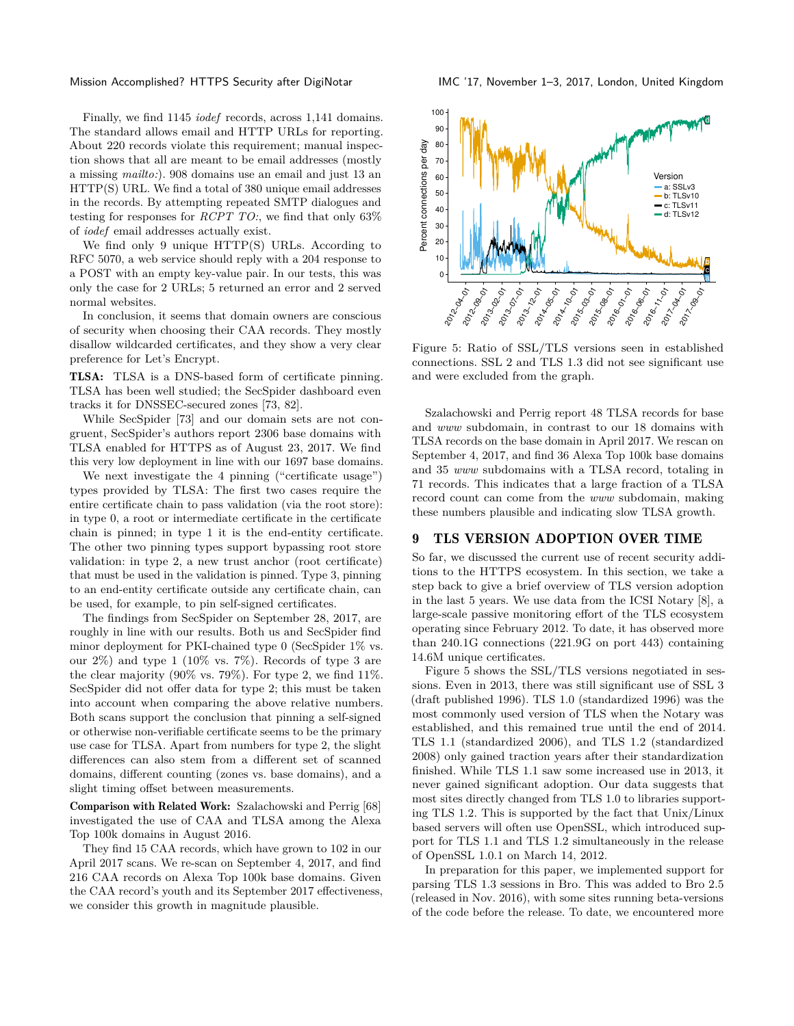Finally, we find 1145 *iodef* records, across 1,141 domains. The standard allows email and HTTP URLs for reporting. About 220 records violate this requirement; manual inspection shows that all are meant to be email addresses (mostly a missing *mailto:*). 908 domains use an email and just 13 an HTTP(S) URL. We find a total of 380 unique email addresses in the records. By attempting repeated SMTP dialogues and testing for responses for *RCPT TO:*, we find that only 63% of *iodef* email addresses actually exist.

We find only 9 unique HTTP(S) URLs. According to RFC 5070, a web service should reply with a 204 response to a POST with an empty key-value pair. In our tests, this was only the case for 2 URLs; 5 returned an error and 2 served normal websites.

In conclusion, it seems that domain owners are conscious of security when choosing their CAA records. They mostly disallow wildcarded certificates, and they show a very clear preference for Let's Encrypt.

TLSA: TLSA is a DNS-based form of certificate pinning. TLSA has been well studied; the SecSpider dashboard even tracks it for DNSSEC-secured zones [\[73,](#page-15-30) [82\]](#page-15-10).

While SecSpider [\[73\]](#page-15-30) and our domain sets are not congruent, SecSpider's authors report 2306 base domains with TLSA enabled for HTTPS as of August 23, 2017. We find this very low deployment in line with our 1697 base domains.

We next investigate the 4 pinning ("certificate usage") types provided by TLSA: The first two cases require the entire certificate chain to pass validation (via the root store): in type 0, a root or intermediate certificate in the certificate chain is pinned; in type 1 it is the end-entity certificate. The other two pinning types support bypassing root store validation: in type 2, a new trust anchor (root certificate) that must be used in the validation is pinned. Type 3, pinning to an end-entity certificate outside any certificate chain, can be used, for example, to pin self-signed certificates.

The findings from SecSpider on September 28, 2017, are roughly in line with our results. Both us and SecSpider find minor deployment for PKI-chained type 0 (SecSpider 1% vs. our  $2\%$ ) and type 1 (10% vs. 7%). Records of type 3 are the clear majority (90% vs. 79%). For type 2, we find 11%. SecSpider did not offer data for type 2; this must be taken into account when comparing the above relative numbers. Both scans support the conclusion that pinning a self-signed or otherwise non-verifiable certificate seems to be the primary use case for TLSA. Apart from numbers for type 2, the slight differences can also stem from a different set of scanned domains, different counting (zones vs. base domains), and a slight timing offset between measurements.

Comparison with Related Work: Szalachowski and Perrig [\[68\]](#page-15-11) investigated the use of CAA and TLSA among the Alexa Top 100k domains in August 2016.

They find 15 CAA records, which have grown to 102 in our April 2017 scans. We re-scan on September 4, 2017, and find 216 CAA records on Alexa Top 100k base domains. Given the CAA record's youth and its September 2017 effectiveness, we consider this growth in magnitude plausible.

Mission Accomplished? HTTPS Security after DigiNotar IMC '17, November 1–3, 2017, London, United Kingdom

<span id="page-10-1"></span>

Figure 5: Ratio of SSL/TLS versions seen in established connections. SSL 2 and TLS 1.3 did not see significant use and were excluded from the graph.

Szalachowski and Perrig report 48 TLSA records for base and *www* subdomain, in contrast to our 18 domains with TLSA records on the base domain in April 2017. We rescan on September 4, 2017, and find 36 Alexa Top 100k base domains and 35 *www* subdomains with a TLSA record, totaling in 71 records. This indicates that a large fraction of a TLSA record count can come from the *www* subdomain, making these numbers plausible and indicating slow TLSA growth.

#### <span id="page-10-0"></span>9 TLS VERSION ADOPTION OVER TIME

So far, we discussed the current use of recent security additions to the HTTPS ecosystem. In this section, we take a step back to give a brief overview of TLS version adoption in the last 5 years. We use data from the ICSI Notary [\[8\]](#page-14-0), a large-scale passive monitoring effort of the TLS ecosystem operating since February 2012. To date, it has observed more than 240.1G connections (221.9G on port 443) containing 14.6M unique certificates.

Figure [5](#page-10-1) shows the SSL/TLS versions negotiated in sessions. Even in 2013, there was still significant use of SSL 3 (draft published 1996). TLS 1.0 (standardized 1996) was the most commonly used version of TLS when the Notary was established, and this remained true until the end of 2014. TLS 1.1 (standardized 2006), and TLS 1.2 (standardized 2008) only gained traction years after their standardization finished. While TLS 1.1 saw some increased use in 2013, it never gained significant adoption. Our data suggests that most sites directly changed from TLS 1.0 to libraries supporting TLS 1.2. This is supported by the fact that Unix/Linux based servers will often use OpenSSL, which introduced support for TLS 1.1 and TLS 1.2 simultaneously in the release of OpenSSL 1.0.1 on March 14, 2012.

In preparation for this paper, we implemented support for parsing TLS 1.3 sessions in Bro. This was added to Bro 2.5 (released in Nov. 2016), with some sites running beta-versions of the code before the release. To date, we encountered more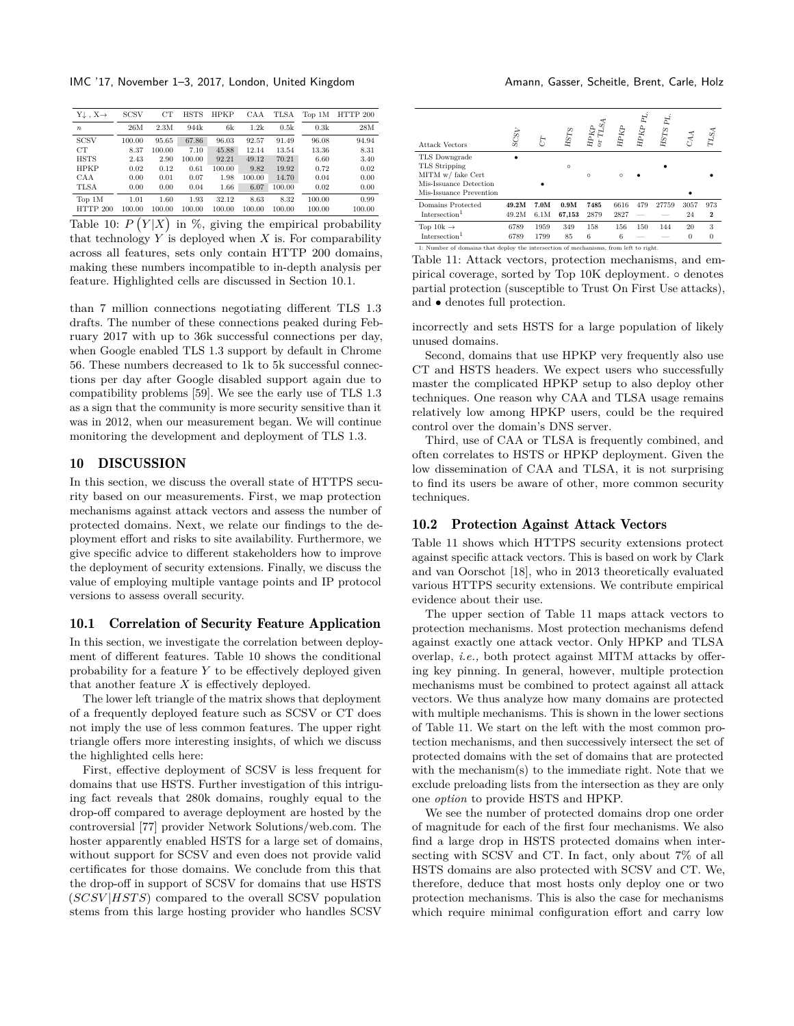IMC '17, November 1–3, 2017, London, United Kingdom Amann, Gasser, Scheitle, Brent, Carle, Holz

<span id="page-11-2"></span>

| $Y \downarrow$ , $X \rightarrow$ | <b>SCSV</b> | CT     | HSTS   | HPKP   | CAA    | TLSA   | Top 1M | HTTP 200 |
|----------------------------------|-------------|--------|--------|--------|--------|--------|--------|----------|
| $\boldsymbol{n}$                 | 26M         | 2.3M   | 944k   | 6k     | 1.2k   | 0.5k   | 0.3k   | 28M      |
| <b>SCSV</b>                      | 100.00      | 95.65  | 67.86  | 96.03  | 92.57  | 91.49  | 96.08  | 94.94    |
| CT                               | 8.37        | 100.00 | 7.10   | 45.88  | 12.14  | 13.54  | 13.36  | 8.31     |
| <b>HSTS</b>                      | 2.43        | 2.90   | 100.00 | 92.21  | 49.12  | 70.21  | 6.60   | 3.40     |
| <b>HPKP</b>                      | 0.02        | 0.12   | 0.61   | 100.00 | 9.82   | 19.92  | 0.72   | 0.02     |
| CAA                              | 0.00        | 0.01   | 0.07   | 1.98   | 100.00 | 14.70  | 0.04   | 0.00     |
| <b>TLSA</b>                      | 0.00        | 0.00   | 0.04   | 1.66   | 6.07   | 100.00 | 0.02   | 0.00     |
| Top 1M                           | 1.01        | 1.60   | 1.93   | 32.12  | 8.63   | 8.32   | 100.00 | 0.99     |
| HTTP 200                         | 100.00      | 100.00 | 100.00 | 100.00 | 100.00 | 100.00 | 100.00 | 100.00   |

Table 10:  $P(Y|X)$  in %, giving the empirical probability that technology  $Y$  is deployed when  $X$  is. For comparability across all features, sets only contain HTTP 200 domains, making these numbers incompatible to in-depth analysis per feature. Highlighted cells are discussed in Section [10.1.](#page-11-1)

than 7 million connections negotiating different TLS 1.3 drafts. The number of these connections peaked during February 2017 with up to 36k successful connections per day, when Google enabled TLS 1.3 support by default in Chrome 56. These numbers decreased to 1k to 5k successful connections per day after Google disabled support again due to compatibility problems [\[59\]](#page-15-31). We see the early use of TLS 1.3 as a sign that the community is more security sensitive than it was in 2012, when our measurement began. We will continue monitoring the development and deployment of TLS 1.3.

#### <span id="page-11-0"></span>10 DISCUSSION

In this section, we discuss the overall state of HTTPS security based on our measurements. First, we map protection mechanisms against attack vectors and assess the number of protected domains. Next, we relate our findings to the deployment effort and risks to site availability. Furthermore, we give specific advice to different stakeholders how to improve the deployment of security extensions. Finally, we discuss the value of employing multiple vantage points and IP protocol versions to assess overall security.

#### <span id="page-11-1"></span>10.1 Correlation of Security Feature Application

In this section, we investigate the correlation between deployment of different features. Table [10](#page-11-2) shows the conditional probability for a feature  $Y$  to be effectively deployed given that another feature  $X$  is effectively deployed.

The lower left triangle of the matrix shows that deployment of a frequently deployed feature such as SCSV or CT does not imply the use of less common features. The upper right triangle offers more interesting insights, of which we discuss the highlighted cells here:

First, effective deployment of SCSV is less frequent for domains that use HSTS. Further investigation of this intriguing fact reveals that 280k domains, roughly equal to the drop-off compared to average deployment are hosted by the controversial [\[77\]](#page-15-32) provider Network Solutions/web.com. The hoster apparently enabled HSTS for a large set of domains, without support for SCSV and even does not provide valid certificates for those domains. We conclude from this that the drop-off in support of SCSV for domains that use HSTS  $(SCSV|HSTS)$  compared to the overall SCSV population stems from this large hosting provider who handles SCSV

<span id="page-11-3"></span>

| <b>Attack Vectors</b>                                                                                    | SCSY           |              | $HSTS$         | $\begin{array}{l} \displaystyle\mathop{\rm H^2F}\limits_{\Omega' \subset \Omega} \end{array}$ or TLSA | HРЮ          | $H\!P\!K\!P$ | $\rm HSTs$ $\rm PL$ |                | $\rm \scriptstyle{TISA}$ |
|----------------------------------------------------------------------------------------------------------|----------------|--------------|----------------|-------------------------------------------------------------------------------------------------------|--------------|--------------|---------------------|----------------|--------------------------|
| TLS Downgrade<br>TLS Stripping<br>MITM w/ fake Cert<br>Mis-Issuance Detection<br>Mis-Issuance Prevention |                |              | $\Omega$       | $\circ$                                                                                               | $\circ$      |              |                     |                |                          |
| Domains Protected<br>Intersection <sup>1</sup>                                                           | 49.2M<br>49.2M | 7.0M<br>6.1M | 0.9M<br>67,153 | 7485<br>2879                                                                                          | 6616<br>2827 | 479<br>-     | 27759               | 3057<br>24     | 973<br>$\boldsymbol{2}$  |
| Top 10k $\rightarrow$<br>Intersection <sup>1</sup>                                                       | 6789<br>6789   | 1959<br>1799 | 349<br>85      | 158<br>6                                                                                              | 156<br>6     | 150          | 144                 | 20<br>$\theta$ | 3<br>$\theta$            |
| 1: Number of domains that deploy the intersection of mechanisms, from left to right.                     |                |              |                |                                                                                                       |              |              |                     |                |                          |

Table 11: Attack vectors, protection mechanisms, and empirical coverage, sorted by Top 10K deployment. ∘ denotes partial protection (susceptible to Trust On First Use attacks), and ∙ denotes full protection.

incorrectly and sets HSTS for a large population of likely unused domains.

Second, domains that use HPKP very frequently also use CT and HSTS headers. We expect users who successfully master the complicated HPKP setup to also deploy other techniques. One reason why CAA and TLSA usage remains relatively low among HPKP users, could be the required control over the domain's DNS server.

Third, use of CAA or TLSA is frequently combined, and often correlates to HSTS or HPKP deployment. Given the low dissemination of CAA and TLSA, it is not surprising to find its users be aware of other, more common security techniques.

#### 10.2 Protection Against Attack Vectors

Table [11](#page-11-3) shows which HTTPS security extensions protect against specific attack vectors. This is based on work by Clark and van Oorschot [\[18\]](#page-14-9), who in 2013 theoretically evaluated various HTTPS security extensions. We contribute empirical evidence about their use.

The upper section of Table [11](#page-11-3) maps attack vectors to protection mechanisms. Most protection mechanisms defend against exactly one attack vector. Only HPKP and TLSA overlap, *i.e.,* both protect against MITM attacks by offering key pinning. In general, however, multiple protection mechanisms must be combined to protect against all attack vectors. We thus analyze how many domains are protected with multiple mechanisms. This is shown in the lower sections of Table [11.](#page-11-3) We start on the left with the most common protection mechanisms, and then successively intersect the set of protected domains with the set of domains that are protected with the mechanism(s) to the immediate right. Note that we exclude preloading lists from the intersection as they are only one *option* to provide HSTS and HPKP.

We see the number of protected domains drop one order of magnitude for each of the first four mechanisms. We also find a large drop in HSTS protected domains when intersecting with SCSV and CT. In fact, only about 7% of all HSTS domains are also protected with SCSV and CT. We, therefore, deduce that most hosts only deploy one or two protection mechanisms. This is also the case for mechanisms which require minimal configuration effort and carry low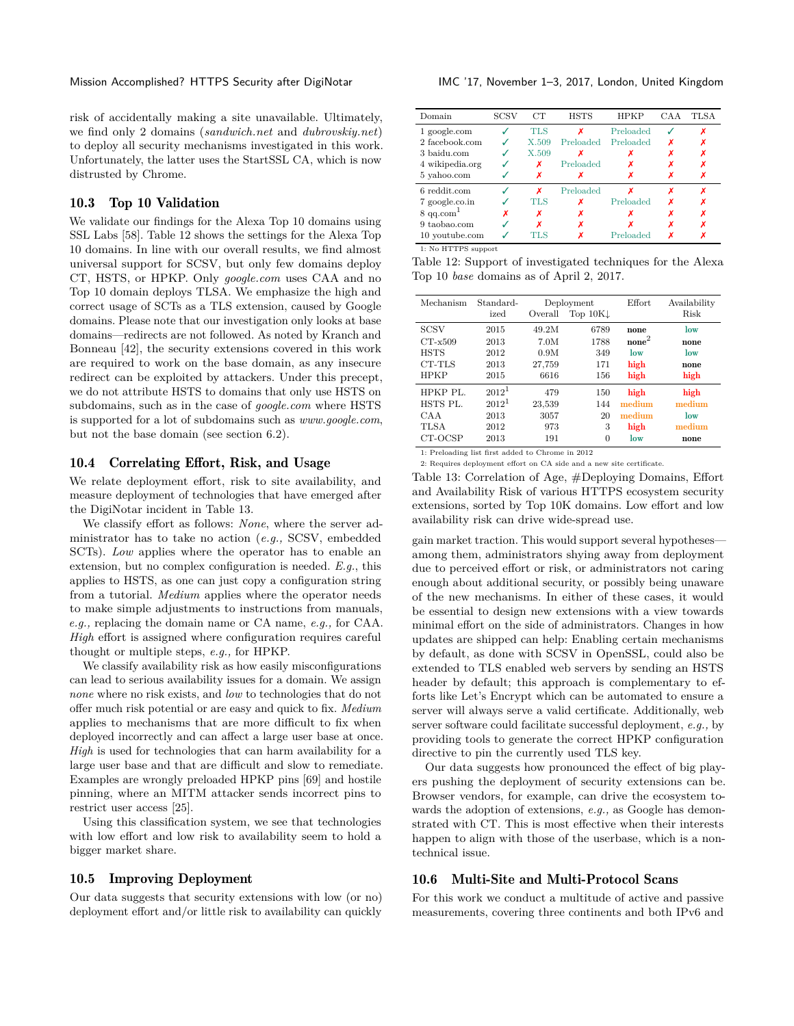risk of accidentally making a site unavailable. Ultimately, we find only 2 domains (*sandwich.net* and *dubrovskiy.net*) to deploy all security mechanisms investigated in this work. Unfortunately, the latter uses the StartSSL CA, which is now distrusted by Chrome.

# 10.3 Top 10 Validation

We validate our findings for the Alexa Top 10 domains using SSL Labs [\[58\]](#page-15-33). Table [12](#page-12-0) shows the settings for the Alexa Top 10 domains. In line with our overall results, we find almost universal support for SCSV, but only few domains deploy CT, HSTS, or HPKP. Only *google.com* uses CAA and no Top 10 domain deploys TLSA. We emphasize the high and correct usage of SCTs as a TLS extension, caused by Google domains. Please note that our investigation only looks at base domains—redirects are not followed. As noted by Kranch and Bonneau [\[42\]](#page-14-21), the security extensions covered in this work are required to work on the base domain, as any insecure redirect can be exploited by attackers. Under this precept, we do not attribute HSTS to domains that only use HSTS on subdomains, such as in the case of *google.com* where HSTS is supported for a lot of subdomains such as *www.google.com*, but not the base domain (see section [6.2\)](#page-7-2).

# 10.4 Correlating Effort, Risk, and Usage

We relate deployment effort, risk to site availability, and measure deployment of technologies that have emerged after the DigiNotar incident in Table [13.](#page-12-1)

We classify effort as follows: *None*, where the server administrator has to take no action (*e.g.,* SCSV, embedded SCTs). *Low* applies where the operator has to enable an extension, but no complex configuration is needed. *E.g.*, this applies to HSTS, as one can just copy a configuration string from a tutorial. *Medium* applies where the operator needs to make simple adjustments to instructions from manuals, *e.g.,* replacing the domain name or CA name, *e.g.,* for CAA. *High* effort is assigned where configuration requires careful thought or multiple steps, *e.g.,* for HPKP.

We classify availability risk as how easily misconfigurations can lead to serious availability issues for a domain. We assign *none* where no risk exists, and *low* to technologies that do not offer much risk potential or are easy and quick to fix. *Medium* applies to mechanisms that are more difficult to fix when deployed incorrectly and can affect a large user base at once. *High* is used for technologies that can harm availability for a large user base and that are difficult and slow to remediate. Examples are wrongly preloaded HPKP pins [\[69\]](#page-15-27) and hostile pinning, where an MITM attacker sends incorrect pins to restrict user access [\[25\]](#page-14-5).

Using this classification system, we see that technologies with low effort and low risk to availability seem to hold a bigger market share.

#### 10.5 Improving Deployment

Our data suggests that security extensions with low (or no) deployment effort and/or little risk to availability can quickly

<span id="page-12-0"></span>

| Domain               | SCSV | CТ         | <b>HSTS</b> | <b>HPKP</b> | CAA | <b>TLSA</b> |
|----------------------|------|------------|-------------|-------------|-----|-------------|
| 1 google.com         |      | <b>TLS</b> | x           | Preloaded   |     | х           |
| 2 facebook.com       |      | X.509      | Preloaded   | Preloaded   | x   | х           |
| 3 baidu.com          |      | X.509      |             |             | х   | х           |
| 4 wikipedia.org      |      | х          | Preloaded   |             | х   | х           |
| 5 vahoo.com          |      | х          | х           |             | х   | Х           |
| 6 reddit.com         |      | x          | Preloaded   |             | x   | x           |
| 7 google.co.in       |      | <b>TLS</b> | x           | Preloaded   | x   | x           |
| $8 \text{ qq.com}^1$ |      | х          | х           |             | x   | Х           |
| 9 taobao.com         |      | x          | х           |             | х   | х           |
| 10 youtube.com       |      | ГLS        | Х           | Preloaded   | Х   |             |

1: No HTTPS support

Table 12: Support of investigated techniques for the Alexa Top 10 *base* domains as of April 2, 2017.

<span id="page-12-1"></span>

| Mechanism                                        | Standard- | Deployment |                     | Effort            | Availability |
|--------------------------------------------------|-----------|------------|---------------------|-------------------|--------------|
|                                                  | ized      | Overall    | Top $10K\downarrow$ |                   | Risk         |
| <b>SCSV</b>                                      | 2015      | 49.2M      | 6789                | none              | low          |
| $CT-x509$                                        | 2013      | 7.0M       | 1788                | $\mathrm{none}^2$ | none         |
| <b>HSTS</b>                                      | 2012      | 0.9M       | 349                 | low               | low          |
| CT-TLS                                           | 2013      | 27.759     | 171                 | high              | none         |
| <b>HPKP</b>                                      | 2015      | 6616       | 156                 | high              | high         |
| HPKP PL.                                         | $2012^1$  | 479        | 150                 | high              | high         |
| HSTS PL.                                         | $2012^1$  | 23,539     | 144                 | medium            | medium       |
| CAA                                              | 2013      | 3057       | 20                  | medium            | low          |
| TLSA                                             | 2012      | 973        | 3                   | high              | medium       |
| CT-OCSP                                          | 2013      | 191        | $\Omega$            | low               | none         |
| 1: Preloading list first added to Chrome in 2012 |           |            |                     |                   |              |

2: Requires deployment effort on CA side and a new site certificate.

Table 13: Correlation of Age, #Deploying Domains, Effort and Availability Risk of various HTTPS ecosystem security extensions, sorted by Top 10K domains. Low effort and low availability risk can drive wide-spread use.

gain market traction. This would support several hypotheses among them, administrators shying away from deployment due to perceived effort or risk, or administrators not caring enough about additional security, or possibly being unaware of the new mechanisms. In either of these cases, it would be essential to design new extensions with a view towards minimal effort on the side of administrators. Changes in how updates are shipped can help: Enabling certain mechanisms by default, as done with SCSV in OpenSSL, could also be extended to TLS enabled web servers by sending an HSTS header by default; this approach is complementary to efforts like Let's Encrypt which can be automated to ensure a server will always serve a valid certificate. Additionally, web server software could facilitate successful deployment, *e.g.,* by providing tools to generate the correct HPKP configuration directive to pin the currently used TLS key.

Our data suggests how pronounced the effect of big players pushing the deployment of security extensions can be. Browser vendors, for example, can drive the ecosystem towards the adoption of extensions, *e.g.,* as Google has demonstrated with CT. This is most effective when their interests happen to align with those of the userbase, which is a nontechnical issue.

#### 10.6 Multi-Site and Multi-Protocol Scans

For this work we conduct a multitude of active and passive measurements, covering three continents and both IPv6 and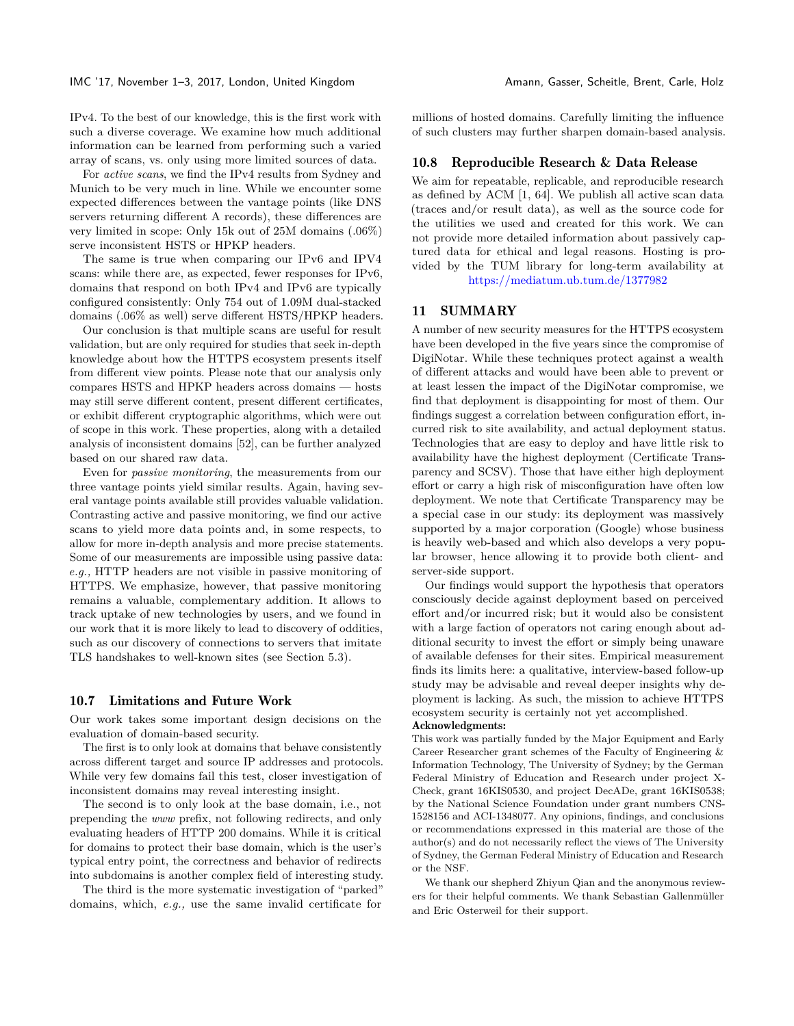IMC '17, November 1–3, 2017, London, United Kingdom Amann, Gasser, Scheitle, Brent, Carle, Holz

IPv4. To the best of our knowledge, this is the first work with such a diverse coverage. We examine how much additional information can be learned from performing such a varied array of scans, vs. only using more limited sources of data.

For *active scans*, we find the IPv4 results from Sydney and Munich to be very much in line. While we encounter some expected differences between the vantage points (like DNS servers returning different A records), these differences are very limited in scope: Only 15k out of 25M domains (.06%) serve inconsistent HSTS or HPKP headers.

The same is true when comparing our IPv6 and IPV4 scans: while there are, as expected, fewer responses for IPv6, domains that respond on both IPv4 and IPv6 are typically configured consistently: Only 754 out of 1.09M dual-stacked domains (.06% as well) serve different HSTS/HPKP headers.

Our conclusion is that multiple scans are useful for result validation, but are only required for studies that seek in-depth knowledge about how the HTTPS ecosystem presents itself from different view points. Please note that our analysis only compares HSTS and HPKP headers across domains — hosts may still serve different content, present different certificates, or exhibit different cryptographic algorithms, which were out of scope in this work. These properties, along with a detailed analysis of inconsistent domains [\[52\]](#page-15-34), can be further analyzed based on our shared raw data.

Even for *passive monitoring*, the measurements from our three vantage points yield similar results. Again, having several vantage points available still provides valuable validation. Contrasting active and passive monitoring, we find our active scans to yield more data points and, in some respects, to allow for more in-depth analysis and more precise statements. Some of our measurements are impossible using passive data: *e.g.,* HTTP headers are not visible in passive monitoring of HTTPS. We emphasize, however, that passive monitoring remains a valuable, complementary addition. It allows to track uptake of new technologies by users, and we found in our work that it is more likely to lead to discovery of oddities, such as our discovery of connections to servers that imitate TLS handshakes to well-known sites (see Section [5.3\)](#page-5-1).

#### 10.7 Limitations and Future Work

Our work takes some important design decisions on the evaluation of domain-based security.

The first is to only look at domains that behave consistently across different target and source IP addresses and protocols. While very few domains fail this test, closer investigation of inconsistent domains may reveal interesting insight.

The second is to only look at the base domain, i.e., not prepending the *www* prefix, not following redirects, and only evaluating headers of HTTP 200 domains. While it is critical for domains to protect their base domain, which is the user's typical entry point, the correctness and behavior of redirects into subdomains is another complex field of interesting study.

The third is the more systematic investigation of "parked" domains, which, *e.g.,* use the same invalid certificate for millions of hosted domains. Carefully limiting the influence of such clusters may further sharpen domain-based analysis.

#### 10.8 Reproducible Research & Data Release

We aim for repeatable, replicable, and reproducible research as defined by ACM [\[1,](#page-14-46) [64\]](#page-15-35). We publish all active scan data (traces and/or result data), as well as the source code for the utilities we used and created for this work. We can not provide more detailed information about passively captured data for ethical and legal reasons. Hosting is provided by the TUM library for long-term availability at <https://mediatum.ub.tum.de/1377982>

#### <span id="page-13-0"></span>11 SUMMARY

A number of new security measures for the HTTPS ecosystem have been developed in the five years since the compromise of DigiNotar. While these techniques protect against a wealth of different attacks and would have been able to prevent or at least lessen the impact of the DigiNotar compromise, we find that deployment is disappointing for most of them. Our findings suggest a correlation between configuration effort, incurred risk to site availability, and actual deployment status. Technologies that are easy to deploy and have little risk to availability have the highest deployment (Certificate Transparency and SCSV). Those that have either high deployment effort or carry a high risk of misconfiguration have often low deployment. We note that Certificate Transparency may be a special case in our study: its deployment was massively supported by a major corporation (Google) whose business is heavily web-based and which also develops a very popular browser, hence allowing it to provide both client- and server-side support.

Our findings would support the hypothesis that operators consciously decide against deployment based on perceived effort and/or incurred risk; but it would also be consistent with a large faction of operators not caring enough about additional security to invest the effort or simply being unaware of available defenses for their sites. Empirical measurement finds its limits here: a qualitative, interview-based follow-up study may be advisable and reveal deeper insights why deployment is lacking. As such, the mission to achieve HTTPS ecosystem security is certainly not yet accomplished. Acknowledgments:

This work was partially funded by the Major Equipment and Early Career Researcher grant schemes of the Faculty of Engineering & Information Technology, The University of Sydney; by the German Federal Ministry of Education and Research under project X-Check, grant 16KIS0530, and project DecADe, grant 16KIS0538; by the National Science Foundation under grant numbers CNS-1528156 and ACI-1348077. Any opinions, findings, and conclusions or recommendations expressed in this material are those of the author(s) and do not necessarily reflect the views of The University of Sydney, the German Federal Ministry of Education and Research or the NSF.

We thank our shepherd Zhiyun Qian and the anonymous reviewers for their helpful comments. We thank Sebastian Gallenmüller and Eric Osterweil for their support.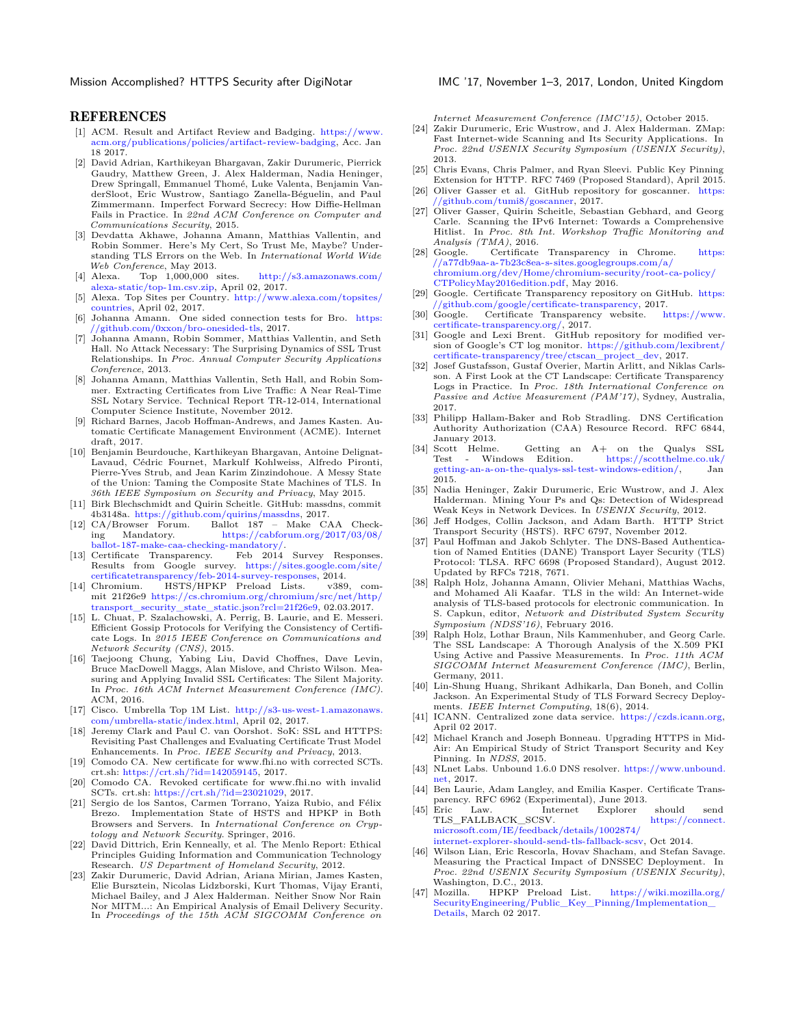Mission Accomplished? HTTPS Security after DigiNotar IMC '17, November 1-3, 2017, London, United Kingdom

#### REFERENCES

- <span id="page-14-46"></span>[1] ACM. Result and Artifact Review and Badging. [https://www.](https://www.acm.org/publications/policies/artifact-review-badging) [acm.org/publications/policies/artifact-review-badging,](https://www.acm.org/publications/policies/artifact-review-badging) Acc. Jan 18 2017.
- <span id="page-14-15"></span>[2] David Adrian, Karthikeyan Bhargavan, Zakir Durumeric, Pierrick Gaudry, Matthew Green, J. Alex Halderman, Nadia Heninger, Drew Springall, Emmanuel Thomé, Luke Valenta, Benjamin VanderSloot, Eric Wustrow, Santiago Zanella-Béguelin, and Paul Zimmermann. Imperfect Forward Secrecy: How Diffie-Hellman Fails in Practice. In *22nd ACM Conference on Computer and Communications Security*, 2015.
- <span id="page-14-11"></span>[3] Devdatta Akhawe, Johanna Amann, Matthias Vallentin, and Robin Sommer. Here's My Cert, So Trust Me, Maybe? Understanding TLS Errors on the Web. In *International World Wide Web Conference*, May 2013.<br>[4] Alexa. Top 1,000,000 sites.
- <span id="page-14-27"></span>[http://s3.amazonaws.com/](http://s3.amazonaws.com/alexa-static/top-1m.csv.zip) [alexa-static/top-1m.csv.zip,](http://s3.amazonaws.com/alexa-static/top-1m.csv.zip) April 02, 2017.
- <span id="page-14-29"></span>[5] Alexa. Top Sites per Country. [http://www.alexa.com/topsites/](http://www.alexa.com/topsites/countries) [countries,](http://www.alexa.com/topsites/countries) April 02, 2017.
- <span id="page-14-35"></span>[6] Johanna Amann. One sided connection tests for Bro. [https:](https://github.com/0xxon/bro-onesided-tls) [//github.com/0xxon/bro-onesided-tls,](https://github.com/0xxon/bro-onesided-tls) 2017.
- <span id="page-14-12"></span>[7] Johanna Amann, Robin Sommer, Matthias Vallentin, and Seth Hall. No Attack Necessary: The Surprising Dynamics of SSL Trust Relationships. In *Proc. Annual Computer Security Applications Conference*, 2013.
- <span id="page-14-0"></span>[8] Johanna Amann, Matthias Vallentin, Seth Hall, and Robin Sommer. Extracting Certificates from Live Traffic: A Near Real-Time SSL Notary Service. Technical Report TR-12-014, International Computer Science Institute, November 2012.
- <span id="page-14-45"></span>[9] Richard Barnes, Jacob Hoffman-Andrews, and James Kasten. Automatic Certificate Management Environment (ACME). Internet draft, 2017.
- <span id="page-14-18"></span>[10] Benjamin Beurdouche, Karthikeyan Bhargavan, Antoine Delignat-Lavaud, Cédric Fournet, Markulf Kohlweiss, Alfredo Pironti, Pierre-Yves Strub, and Jean Karim Zinzindohoue. A Messy State of the Union: Taming the Composite State Machines of TLS. In *36th IEEE Symposium on Security and Privacy*, May 2015.
- <span id="page-14-31"></span>[11] Birk Blechschmidt and Quirin Scheitle. GitHub: massdns, commit 4b3148a. [https://github.com/quirins/massdns,](https://github.com/quirins/massdns) 2017. [12] CA/Browser Forum. Ballot 187 – Make CAA Check-
- <span id="page-14-10"></span>ing Mandatory. [https://cabforum.org/2017/03/08/](https://cabforum.org/2017/03/08/ballot-187-make-caa-checking-mandatory/) [ballot-187-make-caa-checking-mandatory/.](https://cabforum.org/2017/03/08/ballot-187-make-caa-checking-mandatory/)
- <span id="page-14-38"></span>Feb 2014 Survey Responses. Results from Google survey. [https://sites.google.com/site/](https://sites.google.com/site/certificatetransparency/feb-2014-survey-responses) [certificatetransparency/feb-2014-survey-responses,](https://sites.google.com/site/certificatetransparency/feb-2014-survey-responses) 2014.
- <span id="page-14-41"></span>[14] Chromium. HSTS/HPKP Preload Lists. v389, commit 21f26e9 [https://cs.chromium.org/chromium/src/net/http/](https://cs.chromium.org/chromium/src/net/http/transport_security_state_static.json?rcl=21f26e9) [transport\\_security\\_state\\_static.json?rcl=21f26e9,](https://cs.chromium.org/chromium/src/net/http/transport_security_state_static.json?rcl=21f26e9) 02.03.2017.
- <span id="page-14-19"></span>[15] L. Chuat, P. Szalachowski, A. Perrig, B. Laurie, and E. Messeri. Efficient Gossip Protocols for Verifying the Consistency of Certificate Logs. In *2015 IEEE Conference on Communications and Network Security (CNS)*, 2015.
- <span id="page-14-8"></span>[16] Taejoong Chung, Yabing Liu, David Choffnes, Dave Levin, Bruce MacDowell Maggs, Alan Mislove, and Christo Wilson. Measuring and Applying Invalid SSL Certificates: The Silent Majority. In *Proc. 16th ACM Internet Measurement Conference (IMC)*. ACM, 2016.
- <span id="page-14-28"></span>[17] Cisco. Umbrella Top 1M List. [http://s3-us-west-1.amazonaws.](http://s3-us-west-1.amazonaws.com/umbrella-static/index.html) [com/umbrella-static/index.html,](http://s3-us-west-1.amazonaws.com/umbrella-static/index.html) April 02, 2017.
- <span id="page-14-9"></span>[18] Jeremy Clark and Paul C. van Oorshot. SoK: SSL and HTTPS: Revisiting Past Challenges and Evaluating Certificate Trust Model Enhancements. In *Proc. IEEE Security and Privacy*, 2013.
- <span id="page-14-40"></span>[19] Comodo CA. New certificate for www.fhi.no with corrected SCTs. crt.sh: [https://crt.sh/?id=142059145,](https://crt.sh/?id=142059145) 2017.
- <span id="page-14-39"></span>[20] Comodo CA. Revoked certificate for www.fhi.no with invalid SCTs. crt.sh: [https://crt.sh/?id=23021029,](https://crt.sh/?id=23021029) 2017.
- <span id="page-14-22"></span>[21] Sergio de los Santos, Carmen Torrano, Yaiza Rubio, and Félix Brezo. Implementation State of HSTS and HPKP in Both Browsers and Servers. In *International Conference on Cryptology and Network Security*. Springer, 2016.
- <span id="page-14-36"></span>[22] David Dittrich, Erin Kenneally, et al. The Menlo Report: Ethical Principles Guiding Information and Communication Technology Research. *US Department of Homeland Security*, 2012.
- <span id="page-14-13"></span>[23] Zakir Durumeric, David Adrian, Ariana Mirian, James Kasten, Elie Bursztein, Nicolas Lidzborski, Kurt Thomas, Vijay Eranti, Michael Bailey, and J Alex Halderman. Neither Snow Nor Rain Nor MITM...: An Empirical Analysis of Email Delivery Security. In *Proceedings of the 15th ACM SIGCOMM Conference on*

*Internet Measurement Conference (IMC'15)*, October 2015.

- <span id="page-14-1"></span>[24] Zakir Durumeric, Eric Wustrow, and J. Alex Halderman. ZMap: Fast Internet-wide Scanning and Its Security Applications. In *Proc. 22nd USENIX Security Symposium (USENIX Security)*, 2013.
- <span id="page-14-5"></span>[25] Chris Evans, Chris Palmer, and Ryan Sleevi. Public Key Pinning Extension for HTTP. RFC 7469 (Proposed Standard), April 2015.
- <span id="page-14-34"></span>[26] Oliver Gasser et al. GitHub repository for goscanner. [https:](https://github.com/tumi8/goscanner) [//github.com/tumi8/goscanner,](https://github.com/tumi8/goscanner) 2017.
- <span id="page-14-33"></span>[27] Oliver Gasser, Quirin Scheitle, Sebastian Gebhard, and Georg Carle. Scanning the IPv6 Internet: Towards a Comprehensive Hitlist. In *Proc. 8th Int. Workshop Traffic Monitoring and Analysis (TMA)*, 2016.
- <span id="page-14-37"></span>[28] Google. Certificate Transparency in Chrome. [https:](https://a77db9aa-a-7b23c8ea-s-sites.googlegroups.com/a/chromium.org/dev/Home/chromium-security/root-ca-policy/CTPolicyMay2016edition.pdf) [//a77db9aa-a-7b23c8ea-s-sites.googlegroups.com/a/](https://a77db9aa-a-7b23c8ea-s-sites.googlegroups.com/a/chromium.org/dev/Home/chromium-security/root-ca-policy/CTPolicyMay2016edition.pdf) [chromium.org/dev/Home/chromium-security/root-ca-policy/](https://a77db9aa-a-7b23c8ea-s-sites.googlegroups.com/a/chromium.org/dev/Home/chromium-security/root-ca-policy/CTPolicyMay2016edition.pdf) [CTPolicyMay2016edition.pdf,](https://a77db9aa-a-7b23c8ea-s-sites.googlegroups.com/a/chromium.org/dev/Home/chromium-security/root-ca-policy/CTPolicyMay2016edition.pdf) May 2016.
- <span id="page-14-24"></span>[29] Google. Certificate Transparency repository on GitHub. [https:](https://github.com/google/certificate-transparency) [//github.com/google/certificate-transparency,](https://github.com/google/certificate-transparency) 2017.
- <span id="page-14-26"></span>Certificate Transparency website. [https://www.](https://www.certificate-transparency.org/) [certificate-transparency.org/,](https://www.certificate-transparency.org/) 2017.
- <span id="page-14-25"></span>[31] Google and Lexi Brent. GitHub repository for modified version of Google's CT log monitor. [https://github.com/lexibrent/](https://github.com/lexibrent/certificate-transparency/tree/ctscan_project_dev) [certificate-transparency/tree/ctscan\\_project\\_dev,](https://github.com/lexibrent/certificate-transparency/tree/ctscan_project_dev) 2017.
- <span id="page-14-20"></span>[32] Josef Gustafsson, Gustaf Overier, Martin Arlitt, and Niklas Carlsson. A First Look at the CT Landscape: Certificate Transparency Logs in Practice. In *Proc. 18th International Conference on Passive and Active Measurement (PAM'17)*, Sydney, Australia, 2017.
- <span id="page-14-7"></span>[33] Philipp Hallam-Baker and Rob Stradling. DNS Certification Authority Authorization (CAA) Resource Record. RFC 6844, January 2013.<br>[34] Scott Helme.
- <span id="page-14-43"></span>Scott Helme. Getting an  $A+$  on the Qualys SSL Test - Windows Edition.  $\frac{h}{h}$  https://scotthelme.co.uk/  $\mathrm{https://scotthelme.co.uk/}$  $\mathrm{https://scotthelme.co.uk/}$  $\mathrm{https://scotthelme.co.uk/}$ [getting-an-a-on-the-qualys-ssl-test-windows-edition/,](https://scotthelme.co.uk/getting-an-a-on-the-qualys-ssl-test-windows-edition/) Jan 2015.
- <span id="page-14-16"></span>[35] Nadia Heninger, Zakir Durumeric, Eric Wustrow, and J. Alex Halderman. Mining Your Ps and Qs: Detection of Widespread Weak Keys in Network Devices. In *USENIX Security*, 2012.
- <span id="page-14-4"></span>[36] Jeff Hodges, Collin Jackson, and Adam Barth. HTTP Strict Transport Security (HSTS). RFC 6797, November 2012.
- <span id="page-14-6"></span>[37] Paul Hoffman and Jakob Schlyter. The DNS-Based Authentication of Named Entities (DANE) Transport Layer Security (TLS) Protocol: TLSA. RFC 6698 (Proposed Standard), August 2012. Updated by RFCs 7218, 7671.
- <span id="page-14-14"></span>[38] Ralph Holz, Johanna Amann, Olivier Mehani, Matthias Wachs, and Mohamed Ali Kaafar. TLS in the wild: An Internet-wide analysis of TLS-based protocols for electronic communication. In S. Capkun, editor, *Network and Distributed System Security Symposium (NDSS'16)*, February 2016.
- <span id="page-14-2"></span>[39] Ralph Holz, Lothar Braun, Nils Kammenhuber, and Georg Carle. The SSL Landscape: A Thorough Analysis of the X.509 PKI Using Active and Passive Measurements. In *Proc. 11th ACM SIGCOMM Internet Measurement Conference (IMC)*, Berlin, Germany, 2011.
- <span id="page-14-17"></span>[40] Lin-Shung Huang, Shrikant Adhikarla, Dan Boneh, and Collin Jackson. An Experimental Study of TLS Forward Secrecy Deployments. *IEEE Internet Computing*, 18(6), 2014.
- <span id="page-14-30"></span>[41] ICANN. Centralized zone data service. [https://czds.icann.org,](https://czds.icann.org) April 02 2017.
- <span id="page-14-21"></span>[42] Michael Kranch and Joseph Bonneau. Upgrading HTTPS in Mid-Air: An Empirical Study of Strict Transport Security and Key Pinning. In *NDSS*, 2015.
- <span id="page-14-32"></span>[43] NLnet Labs. Unbound 1.6.0 DNS resolver. [https://www.unbound.](https://www.unbound.net) [net,](https://www.unbound.net) 2017.
- <span id="page-14-3"></span>[44] Ben Laurie, Adam Langley, and Emilia Kasper. Certificate Transparency. RFC 6962 (Experimental), June 2013.<br>[45] Eric Law. Internet Explorer
- <span id="page-14-44"></span>Explorer should send TLS\_FALLBACK\_SCSV. [https://connect.](https://connect.microsoft.com/IE/feedback/details/1002874/internet-explorer-should-send-tls-fallback-scsv) [microsoft.com/IE/feedback/details/1002874/](https://connect.microsoft.com/IE/feedback/details/1002874/internet-explorer-should-send-tls-fallback-scsv) [internet-explorer-should-send-tls-fallback-scsv,](https://connect.microsoft.com/IE/feedback/details/1002874/internet-explorer-should-send-tls-fallback-scsv) Oct 2014.
- <span id="page-14-23"></span>[46] Wilson Lian, Eric Rescorla, Hovav Shacham, and Stefan Savage. Measuring the Practical Impact of DNSSEC Deployment. In *Proc. 22nd USENIX Security Symposium (USENIX Security)*, Washington, D.C., 2013.
- <span id="page-14-42"></span>[47] Mozilla. HPKP Preload List. [https://wiki.mozilla.org/](https://wiki.mozilla.org/SecurityEngineering/Public_Key_Pinning/Implementation_Details) [SecurityEngineering/Public\\_Key\\_Pinning/Implementation\\_](https://wiki.mozilla.org/SecurityEngineering/Public_Key_Pinning/Implementation_Details) [Details,](https://wiki.mozilla.org/SecurityEngineering/Public_Key_Pinning/Implementation_Details) March 02 2017.